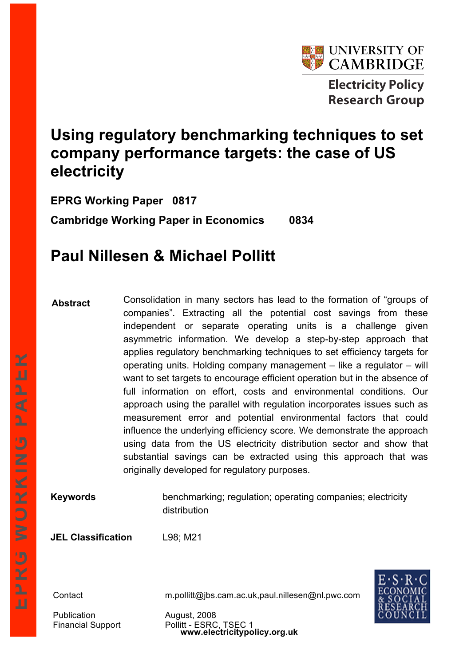

# **Using regulatory benchmarking techniques to set company performance targets: the case of US electricity**

**EPRG Working Paper 0817 Cambridge Working Paper in Economics 0834**

## **Paul Nillesen & Michael Pollitt**

**Abstract** Consolidation in many sectors has lead to the formation of "groups of companies". Extracting all the potential cost savings from these independent or separate operating units is a challenge given asymmetric information. We develop a step-by-step approach that applies regulatory benchmarking techniques to set efficiency targets for operating units. Holding company management – like a regulator – will want to set targets to encourage efficient operation but in the absence of full information on effort, costs and environmental conditions. Our approach using the parallel with regulation incorporates issues such as measurement error and potential environmental factors that could influence the underlying efficiency score. We demonstrate the approach using data from the US electricity distribution sector and show that substantial savings can be extracted using this approach that was originally developed for regulatory purposes.

**Keywords** benchmarking; regulation; operating companies; electricity distribution

**JEL Classification** L98; M21

Contact m.pollitt@jbs.cam.ac.uk,paul.nillesen@nl.pwc.com

**www.electricitypolicy.org.uk**

Publication **August, 2008** Financial Support Pollitt - ESRC, TSEC 1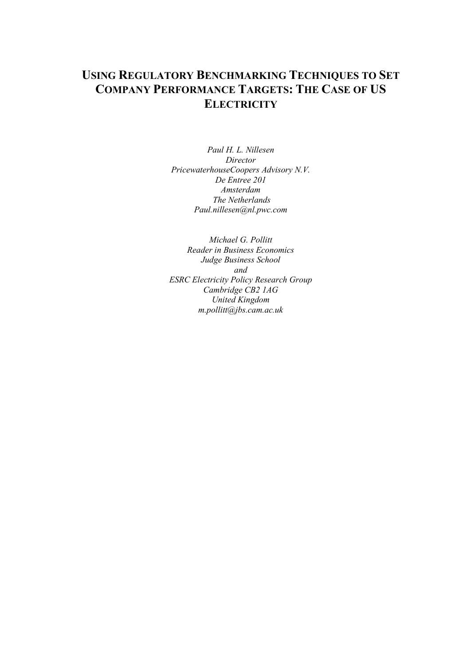## **USING REGULATORY BENCHMARKING TECHNIQUES TO SET COMPANY PERFORMANCE TARGETS: THE CASE OF US ELECTRICITY**

*Paul H. L. Nillesen Director PricewaterhouseCoopers Advisory N.V. De Entree 201 Amsterdam The Netherlands Paul.nillesen@nl.pwc.com*

*Michael G. Pollitt Reader in Business Economics Judge Business School and ESRC Electricity Policy Research Group Cambridge CB2 1AG United Kingdom m.pollitt@jbs.cam.ac.uk*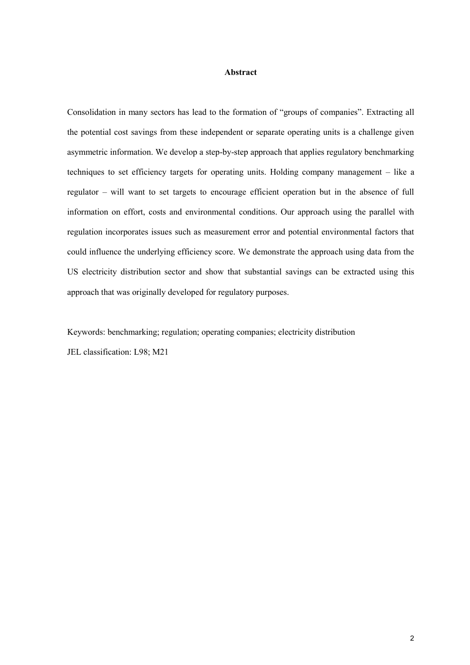#### **Abstract**

Consolidation in many sectors has lead to the formation of "groups of companies". Extracting all the potential cost savings from these independent or separate operating units is a challenge given asymmetric information. We develop a step-by-step approach that applies regulatory benchmarking techniques to set efficiency targets for operating units. Holding company management – like a regulator – will want to set targets to encourage efficient operation but in the absence of full information on effort, costs and environmental conditions. Our approach using the parallel with regulation incorporates issues such as measurement error and potential environmental factors that could influence the underlying efficiency score. We demonstrate the approach using data from the US electricity distribution sector and show that substantial savings can be extracted using this approach that was originally developed for regulatory purposes.

Keywords: benchmarking; regulation; operating companies; electricity distribution JEL classification: L98; M21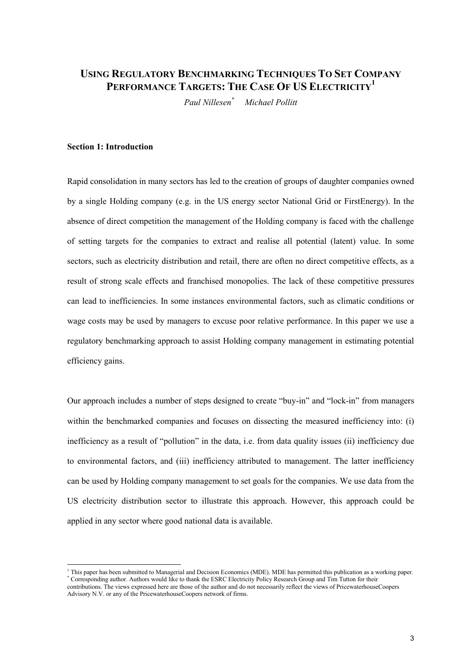## **USING REGULATORY BENCHMARKING TECHNIQUES TO SET COMPANY PERFORMANCE TARGETS: THE CASE O<sup>F</sup> US ELECTRICITY<sup>1</sup>**

*Paul Nillesen\* Michael Pollitt*

#### **Section 1: Introduction**

Rapid consolidation in many sectors has led to the creation of groups of daughter companies owned by a single Holding company (e.g. in the US energy sector National Grid or FirstEnergy). In the absence of direct competition the management of the Holding company is faced with the challenge of setting targets for the companies to extract and realise all potential (latent) value. In some sectors, such as electricity distribution and retail, there are often no direct competitive effects, as a result of strong scale effects and franchised monopolies. The lack of these competitive pressures can lead to inefficiencies. In some instances environmental factors, such as climatic conditions or wage costs may be used by managers to excuse poor relative performance. In this paper we use a regulatory benchmarking approach to assist Holding company management in estimating potential efficiency gains.

Our approach includes a number of steps designed to create "buy-in" and "lock-in" from managers within the benchmarked companies and focuses on dissecting the measured inefficiency into: (i) inefficiency as a result of "pollution" in the data, i.e. from data quality issues (ii) inefficiency due to environmental factors, and (iii) inefficiency attributed to management. The latter inefficiency can be used by Holding company management to set goals for the companies. We use data from the US electricity distribution sector to illustrate this approach. However, this approach could be applied in any sector where good national data is available.

 $<sup>1</sup>$  This paper has been submitted to Managerial and Decision Economics (MDE). MDE has permitted this publication as a working paper.</sup> \* Corresponding author. Authors would like to thank the ESRC Electricity Policy Research Group and Tim Tutton for their

contributions. The views expressed here are those of the author and do not necessarily reflect the views of PricewaterhouseCoopers Advisory N.V. or any of the PricewaterhouseCoopers network of firms.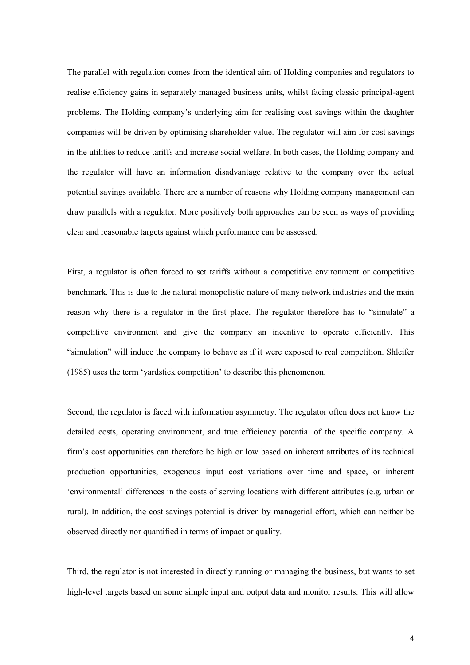The parallel with regulation comes from the identical aim of Holding companies and regulators to realise efficiency gains in separately managed business units, whilst facing classic principal-agent problems. The Holding company's underlying aim for realising cost savings within the daughter companies will be driven by optimising shareholder value. The regulator will aim for cost savings in the utilities to reduce tariffs and increase social welfare. In both cases, the Holding company and the regulator will have an information disadvantage relative to the company over the actual potential savings available. There are a number of reasons why Holding company management can draw parallels with a regulator. More positively both approaches can be seen as ways of providing clear and reasonable targets against which performance can be assessed.

First, a regulator is often forced to set tariffs without a competitive environment or competitive benchmark. This is due to the natural monopolistic nature of many network industries and the main reason why there is a regulator in the first place. The regulator therefore has to "simulate" a competitive environment and give the company an incentive to operate efficiently. This "simulation" will induce the company to behave as if it were exposed to real competition. Shleifer (1985) uses the term 'yardstick competition' to describe this phenomenon.

Second, the regulator is faced with information asymmetry. The regulator often does not know the detailed costs, operating environment, and true efficiency potential of the specific company. A firm's cost opportunities can therefore be high or low based on inherent attributes of its technical production opportunities, exogenous input cost variations over time and space, or inherent 'environmental' differences in the costs of serving locations with different attributes (e.g. urban or rural). In addition, the cost savings potential is driven by managerial effort, which can neither be observed directly nor quantified in terms of impact or quality.

Third, the regulator is not interested in directly running or managing the business, but wants to set high-level targets based on some simple input and output data and monitor results. This will allow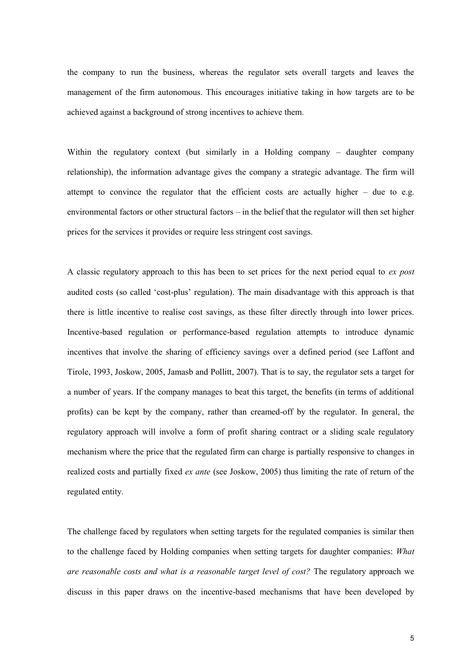the company to run the business, whereas the regulator sets overall targets and leaves the management of the firm autonomous. This encourages initiative taking in how targets are to be achieved against a background of strong incentives to achieve them.

Within the regulatory context (but similarly in a Holding company – daughter company relationship), the information advantage gives the company a strategic advantage. The firm will attempt to convince the regulator that the efficient costs are actually higher  $-$  due to e.g. environmental factors or other structural factors – in the belief that the regulator will then set higher prices for the services it provides or require less stringent cost savings.

A classic regulatory approach to this has been to set prices for the next period equal to *ex post* audited costs (so called 'cost-plus' regulation). The main disadvantage with this approach is that there is little incentive to realise cost savings, as these filter directly through into lower prices. Incentive-based regulation or performance-based regulation attempts to introduce dynamic incentives that involve the sharing of efficiency savings over a defined period (see Laffont and Tirole, 1993, Joskow, 2005, Jamasb and Pollitt, 2007). That is to say, the regulator sets a target for a number of years. If the company manages to beat this target, the benefits (in terms of additional profits) can be kept by the company, rather than creamed-off by the regulator. In general, the regulatory approach will involve a form of profit sharing contract or a sliding scale regulatory mechanism where the price that the regulated firm can charge is partially responsive to changes in realized costs and partially fixed *ex ante* (see Joskow, 2005) thus limiting the rate of return of the regulated entity.

The challenge faced by regulators when setting targets for the regulated companies is similar then to the challenge faced by Holding companies when setting targets for daughter companies: *What are reasonable costs and what is a reasonable target level of cost?* The regulatory approach we discuss in this paper draws on the incentive-based mechanisms that have been developed by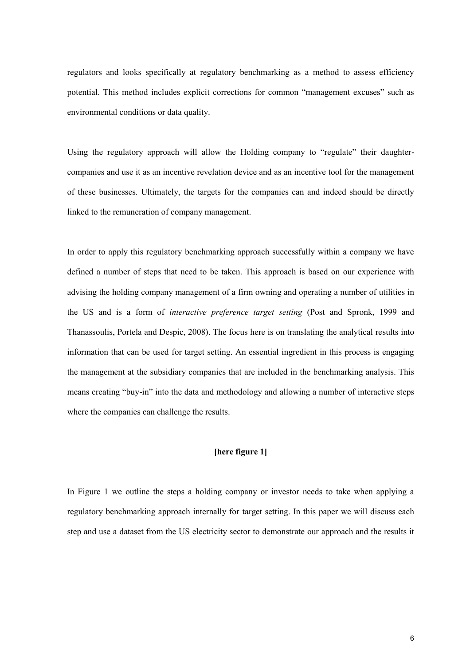regulators and looks specifically at regulatory benchmarking as a method to assess efficiency potential. This method includes explicit corrections for common "management excuses" such as environmental conditions or data quality.

Using the regulatory approach will allow the Holding company to "regulate" their daughtercompanies and use it as an incentive revelation device and as an incentive tool for the management of these businesses. Ultimately, the targets for the companies can and indeed should be directly linked to the remuneration of company management.

In order to apply this regulatory benchmarking approach successfully within a company we have defined a number of steps that need to be taken. This approach is based on our experience with advising the holding company management of a firm owning and operating a number of utilities in the US and is a form of *interactive preference target setting* (Post and Spronk, 1999 and Thanassoulis, Portela and Despic, 2008). The focus here is on translating the analytical results into information that can be used for target setting. An essential ingredient in this process is engaging the management at the subsidiary companies that are included in the benchmarking analysis. This means creating "buy-in" into the data and methodology and allowing a number of interactive steps where the companies can challenge the results.

#### **[here figure 1]**

In Figure 1 we outline the steps a holding company or investor needs to take when applying a regulatory benchmarking approach internally for target setting. In this paper we will discuss each step and use a dataset from the US electricity sector to demonstrate our approach and the results it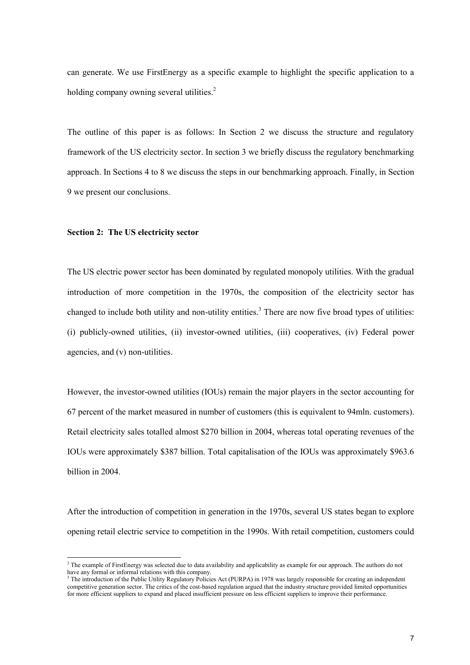can generate. We use FirstEnergy as a specific example to highlight the specific application to a holding company owning several utilities.<sup>2</sup>

The outline of this paper is as follows: In Section 2 we discuss the structure and regulatory framework of the US electricity sector. In section 3 we briefly discuss the regulatory benchmarking approach. In Sections 4 to 8 we discuss the steps in our benchmarking approach. Finally, in Section 9 we present our conclusions.

#### **Section 2: The US electricity sector**

The US electric power sector has been dominated by regulated monopoly utilities. With the gradual introduction of more competition in the 1970s, the composition of the electricity sector has changed to include both utility and non-utility entities.<sup>3</sup> There are now five broad types of utilities: (i) publicly-owned utilities, (ii) investor-owned utilities, (iii) cooperatives, (iv) Federal power agencies, and (v) non-utilities.

However, the investor-owned utilities (IOUs) remain the major players in the sector accounting for 67 percent of the market measured in number of customers (this is equivalent to 94mln. customers). Retail electricity sales totalled almost \$270 billion in 2004, whereas total operating revenues of the IOUs were approximately \$387 billion. Total capitalisation of the IOUs was approximately \$963.6 billion in 2004.

After the introduction of competition in generation in the 1970s, several US states began to explore opening retail electric service to competition in the 1990s. With retail competition, customers could

<sup>&</sup>lt;sup>2</sup> The example of FirstEnergy was selected due to data availability and applicability as example for our approach. The authors do not have any formal or informal relations with this company.

<sup>&</sup>lt;sup>3</sup> The introduction of the Public Utility Regulatory Policies Act (PURPA) in 1978 was largely responsible for creating an independent competitive generation sector. The critics of the cost-based regulation argued that the industry structure provided limited opportunities for more efficient suppliers to expand and placed insufficient pressure on less efficient suppliers to improve their performance.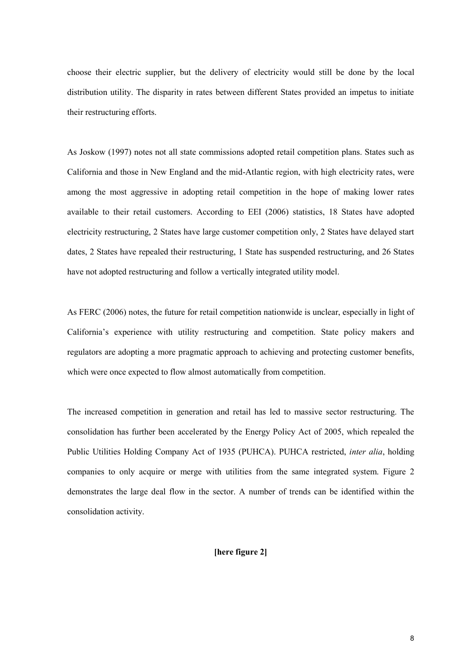choose their electric supplier, but the delivery of electricity would still be done by the local distribution utility. The disparity in rates between different States provided an impetus to initiate their restructuring efforts.

As Joskow (1997) notes not all state commissions adopted retail competition plans. States such as California and those in New England and the mid-Atlantic region, with high electricity rates, were among the most aggressive in adopting retail competition in the hope of making lower rates available to their retail customers. According to EEI (2006) statistics, 18 States have adopted electricity restructuring, 2 States have large customer competition only, 2 States have delayed start dates, 2 States have repealed their restructuring, 1 State has suspended restructuring, and 26 States have not adopted restructuring and follow a vertically integrated utility model.

As FERC (2006) notes, the future for retail competition nationwide is unclear, especially in light of California's experience with utility restructuring and competition. State policy makers and regulators are adopting a more pragmatic approach to achieving and protecting customer benefits, which were once expected to flow almost automatically from competition.

The increased competition in generation and retail has led to massive sector restructuring. The consolidation has further been accelerated by the Energy Policy Act of 2005, which repealed the Public Utilities Holding Company Act of 1935 (PUHCA). PUHCA restricted, *inter alia*, holding companies to only acquire or merge with utilities from the same integrated system. Figure 2 demonstrates the large deal flow in the sector. A number of trends can be identified within the consolidation activity.

#### **[here figure 2]**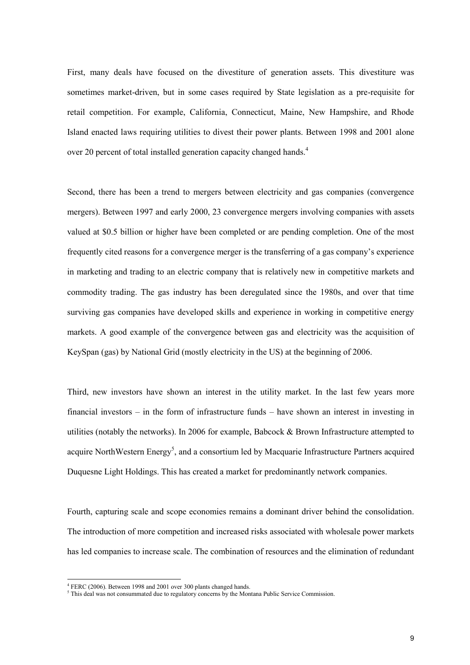First, many deals have focused on the divestiture of generation assets. This divestiture was sometimes market-driven, but in some cases required by State legislation as a pre-requisite for retail competition. For example, California, Connecticut, Maine, New Hampshire, and Rhode Island enacted laws requiring utilities to divest their power plants. Between 1998 and 2001 alone over 20 percent of total installed generation capacity changed hands.<sup>4</sup>

Second, there has been a trend to mergers between electricity and gas companies (convergence mergers). Between 1997 and early 2000, 23 convergence mergers involving companies with assets valued at \$0.5 billion or higher have been completed or are pending completion. One of the most frequently cited reasons for a convergence merger is the transferring of a gas company's experience in marketing and trading to an electric company that is relatively new in competitive markets and commodity trading. The gas industry has been deregulated since the 1980s, and over that time surviving gas companies have developed skills and experience in working in competitive energy markets. A good example of the convergence between gas and electricity was the acquisition of KeySpan (gas) by National Grid (mostly electricity in the US) at the beginning of 2006.

Third, new investors have shown an interest in the utility market. In the last few years more financial investors – in the form of infrastructure funds – have shown an interest in investing in utilities (notably the networks). In 2006 for example, Babcock & Brown Infrastructure attempted to acquire NorthWestern Energy<sup>5</sup>, and a consortium led by Macquarie Infrastructure Partners acquired Duquesne Light Holdings. This has created a market for predominantly network companies.

Fourth, capturing scale and scope economies remains a dominant driver behind the consolidation. The introduction of more competition and increased risks associated with wholesale power markets has led companies to increase scale. The combination of resources and the elimination of redundant

<sup>&</sup>lt;sup>4</sup> FERC (2006). Between 1998 and 2001 over 300 plants changed hands.

 $<sup>5</sup>$  This deal was not consummated due to regulatory concerns by the Montana Public Service Commission.</sup>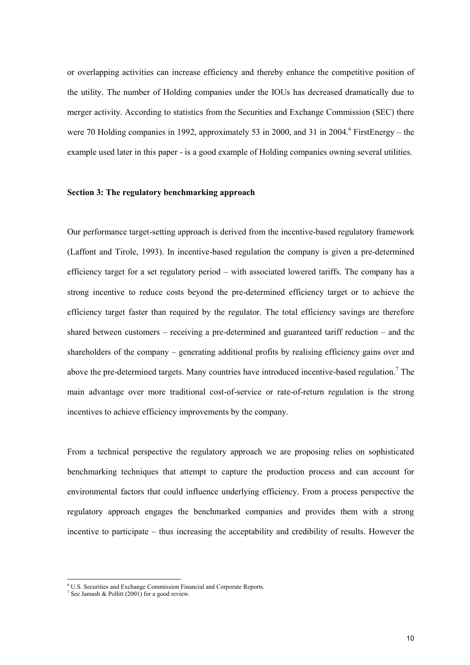or overlapping activities can increase efficiency and thereby enhance the competitive position of the utility. The number of Holding companies under the IOUs has decreased dramatically due to merger activity. According to statistics from the Securities and Exchange Commission (SEC) there were 70 Holding companies in 1992, approximately 53 in 2000, and 31 in 2004. FirstEnergy – the example used later in this paper - is a good example of Holding companies owning several utilities.

#### **Section 3: The regulatory benchmarking approach**

Our performance target-setting approach is derived from the incentive-based regulatory framework (Laffont and Tirole, 1993). In incentive-based regulation the company is given a pre-determined efficiency target for a set regulatory period – with associated lowered tariffs. The company has a strong incentive to reduce costs beyond the pre-determined efficiency target or to achieve the efficiency target faster than required by the regulator. The total efficiency savings are therefore shared between customers – receiving a pre-determined and guaranteed tariff reduction – and the shareholders of the company – generating additional profits by realising efficiency gains over and above the pre-determined targets. Many countries have introduced incentive-based regulation.<sup>7</sup> The main advantage over more traditional cost-of-service or rate-of-return regulation is the strong incentives to achieve efficiency improvements by the company.

From a technical perspective the regulatory approach we are proposing relies on sophisticated benchmarking techniques that attempt to capture the production process and can account for environmental factors that could influence underlying efficiency. From a process perspective the regulatory approach engages the benchmarked companies and provides them with a strong incentive to participate – thus increasing the acceptability and credibility of results. However the

<sup>6</sup> U.S. Securities and Exchange Commission Financial and Corporate Reports.

<sup>&</sup>lt;sup>7</sup> See Jamasb & Pollitt (2001) for a good review.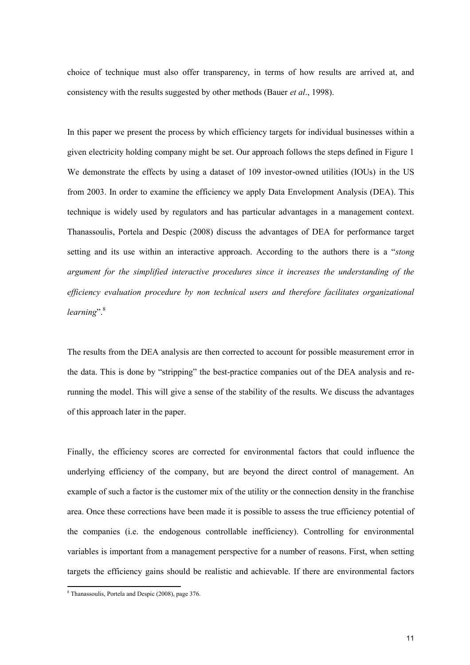choice of technique must also offer transparency, in terms of how results are arrived at, and consistency with the results suggested by other methods (Bauer *et al*., 1998).

In this paper we present the process by which efficiency targets for individual businesses within a given electricity holding company might be set. Our approach follows the steps defined in Figure 1 We demonstrate the effects by using a dataset of 109 investor-owned utilities (IOUs) in the US from 2003. In order to examine the efficiency we apply Data Envelopment Analysis (DEA). This technique is widely used by regulators and has particular advantages in a management context. Thanassoulis, Portela and Despic (2008) discuss the advantages of DEA for performance target setting and its use within an interactive approach. According to the authors there is a "*stong argument for the simplified interactive procedures since it increases the understanding of the efficiency evaluation procedure by non technical users and therefore facilitates organizational learning*".<sup>8</sup>

The results from the DEA analysis are then corrected to account for possible measurement error in the data. This is done by "stripping" the best-practice companies out of the DEA analysis and rerunning the model. This will give a sense of the stability of the results. We discuss the advantages of this approach later in the paper.

Finally, the efficiency scores are corrected for environmental factors that could influence the underlying efficiency of the company, but are beyond the direct control of management. An example of such a factor is the customer mix of the utility or the connection density in the franchise area. Once these corrections have been made it is possible to assess the true efficiency potential of the companies (i.e. the endogenous controllable inefficiency). Controlling for environmental variables is important from a management perspective for a number of reasons. First, when setting targets the efficiency gains should be realistic and achievable. If there are environmental factors

<sup>8</sup> Thanassoulis, Portela and Despic (2008), page 376.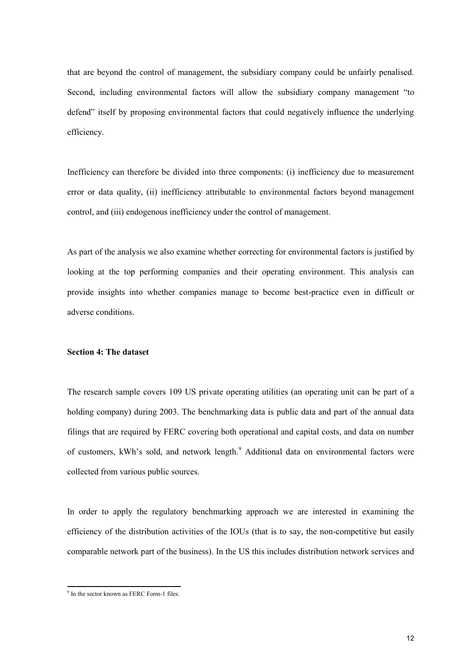that are beyond the control of management, the subsidiary company could be unfairly penalised. Second, including environmental factors will allow the subsidiary company management "to defend" itself by proposing environmental factors that could negatively influence the underlying efficiency.

Inefficiency can therefore be divided into three components: (i) inefficiency due to measurement error or data quality, (ii) inefficiency attributable to environmental factors beyond management control, and (iii) endogenous inefficiency under the control of management.

As part of the analysis we also examine whether correcting for environmental factors is justified by looking at the top performing companies and their operating environment. This analysis can provide insights into whether companies manage to become best-practice even in difficult or adverse conditions.

#### **Section 4: The dataset**

The research sample covers 109 US private operating utilities (an operating unit can be part of a holding company) during 2003. The benchmarking data is public data and part of the annual data filings that are required by FERC covering both operational and capital costs, and data on number of customers, kWh's sold, and network length.<sup>9</sup> Additional data on environmental factors were collected from various public sources.

In order to apply the regulatory benchmarking approach we are interested in examining the efficiency of the distribution activities of the IOUs (that is to say, the non-competitive but easily comparable network part of the business). In the US this includes distribution network services and

<sup>9</sup> In the sector known as FERC Form-1 files.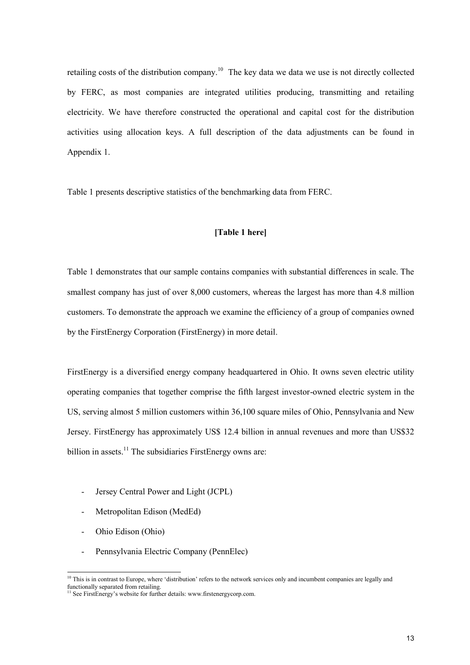retailing costs of the distribution company.<sup>10</sup> The key data we data we use is not directly collected by FERC, as most companies are integrated utilities producing, transmitting and retailing electricity. We have therefore constructed the operational and capital cost for the distribution activities using allocation keys. A full description of the data adjustments can be found in Appendix 1.

Table 1 presents descriptive statistics of the benchmarking data from FERC.

#### **[Table 1 here]**

Table 1 demonstrates that our sample contains companies with substantial differences in scale. The smallest company has just of over 8,000 customers, whereas the largest has more than 4.8 million customers. To demonstrate the approach we examine the efficiency of a group of companies owned by the FirstEnergy Corporation (FirstEnergy) in more detail.

FirstEnergy is a diversified energy company headquartered in Ohio. It owns seven electric utility operating companies that together comprise the fifth largest investor-owned electric system in the US, serving almost 5 million customers within 36,100 square miles of Ohio, Pennsylvania and New Jersey. FirstEnergy has approximately US\$ 12.4 billion in annual revenues and more than US\$32 billion in assets.<sup>11</sup> The subsidiaries FirstEnergy owns are:

- Jersey Central Power and Light (JCPL)
- Metropolitan Edison (MedEd)
- Ohio Edison (Ohio)
- Pennsylvania Electric Company (PennElec)

 $10$  This is in contrast to Europe, where 'distribution' refers to the network services only and incumbent companies are legally and functionally separated from retailing.

<sup>&</sup>lt;sup>1</sup> See FirstEnergy's website for further details: www.firstenergycorp.com.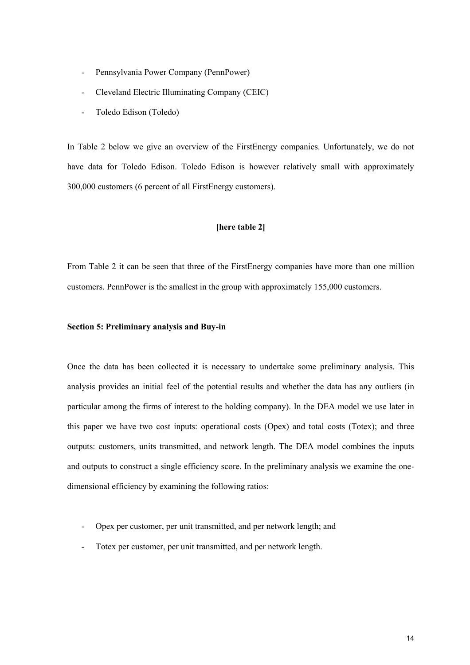- Pennsylvania Power Company (PennPower)
- Cleveland Electric Illuminating Company (CEIC)
- Toledo Edison (Toledo)

In Table 2 below we give an overview of the FirstEnergy companies. Unfortunately, we do not have data for Toledo Edison. Toledo Edison is however relatively small with approximately 300,000 customers (6 percent of all FirstEnergy customers).

#### **[here table 2]**

From Table 2 it can be seen that three of the FirstEnergy companies have more than one million customers. PennPower is the smallest in the group with approximately 155,000 customers.

#### **Section 5: Preliminary analysis and Buy-in**

Once the data has been collected it is necessary to undertake some preliminary analysis. This analysis provides an initial feel of the potential results and whether the data has any outliers (in particular among the firms of interest to the holding company). In the DEA model we use later in this paper we have two cost inputs: operational costs (Opex) and total costs (Totex); and three outputs: customers, units transmitted, and network length. The DEA model combines the inputs and outputs to construct a single efficiency score. In the preliminary analysis we examine the onedimensional efficiency by examining the following ratios:

- Opex per customer, per unit transmitted, and per network length; and
- Totex per customer, per unit transmitted, and per network length.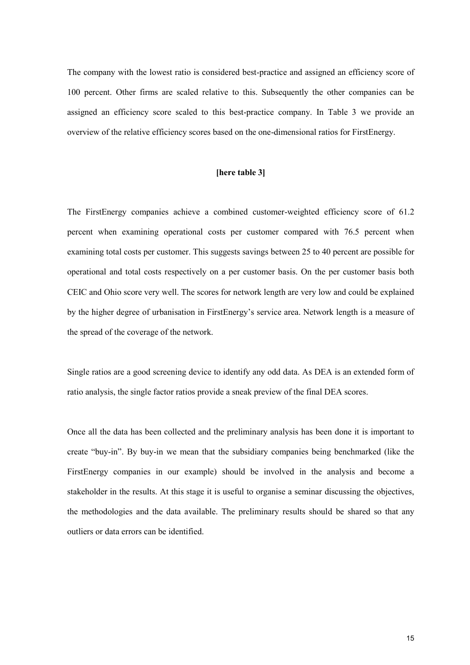The company with the lowest ratio is considered best-practice and assigned an efficiency score of 100 percent. Other firms are scaled relative to this. Subsequently the other companies can be assigned an efficiency score scaled to this best-practice company. In Table 3 we provide an overview of the relative efficiency scores based on the one-dimensional ratios for FirstEnergy.

#### **[here table 3]**

The FirstEnergy companies achieve a combined customer-weighted efficiency score of 61.2 percent when examining operational costs per customer compared with 76.5 percent when examining total costs per customer. This suggests savings between 25 to 40 percent are possible for operational and total costs respectively on a per customer basis. On the per customer basis both CEIC and Ohio score very well. The scores for network length are very low and could be explained by the higher degree of urbanisation in FirstEnergy's service area. Network length is a measure of the spread of the coverage of the network.

Single ratios are a good screening device to identify any odd data. As DEA is an extended form of ratio analysis, the single factor ratios provide a sneak preview of the final DEA scores.

Once all the data has been collected and the preliminary analysis has been done it is important to create "buy-in". By buy-in we mean that the subsidiary companies being benchmarked (like the FirstEnergy companies in our example) should be involved in the analysis and become a stakeholder in the results. At this stage it is useful to organise a seminar discussing the objectives, the methodologies and the data available. The preliminary results should be shared so that any outliers or data errors can be identified.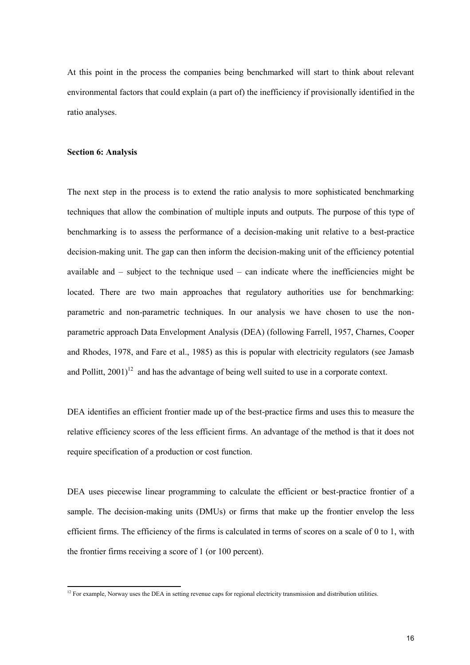At this point in the process the companies being benchmarked will start to think about relevant environmental factors that could explain (a part of) the inefficiency if provisionally identified in the ratio analyses.

#### **Section 6: Analysis**

The next step in the process is to extend the ratio analysis to more sophisticated benchmarking techniques that allow the combination of multiple inputs and outputs. The purpose of this type of benchmarking is to assess the performance of a decision-making unit relative to a best-practice decision-making unit. The gap can then inform the decision-making unit of the efficiency potential available and  $-$  subject to the technique used  $-$  can indicate where the inefficiencies might be located. There are two main approaches that regulatory authorities use for benchmarking: parametric and non-parametric techniques. In our analysis we have chosen to use the nonparametric approach Data Envelopment Analysis (DEA) (following Farrell, 1957, Charnes, Cooper and Rhodes, 1978, and Fare et al., 1985) as this is popular with electricity regulators (see Jamasb and Pollitt,  $2001$ <sup>12</sup> and has the advantage of being well suited to use in a corporate context.

DEA identifies an efficient frontier made up of the best-practice firms and uses this to measure the relative efficiency scores of the less efficient firms. An advantage of the method is that it does not require specification of a production or cost function.

DEA uses piecewise linear programming to calculate the efficient or best-practice frontier of a sample. The decision-making units (DMUs) or firms that make up the frontier envelop the less efficient firms. The efficiency of the firms is calculated in terms of scores on a scale of 0 to 1, with the frontier firms receiving a score of 1 (or 100 percent).

<sup>&</sup>lt;sup>12</sup> For example, Norway uses the DEA in setting revenue caps for regional electricity transmission and distribution utilities.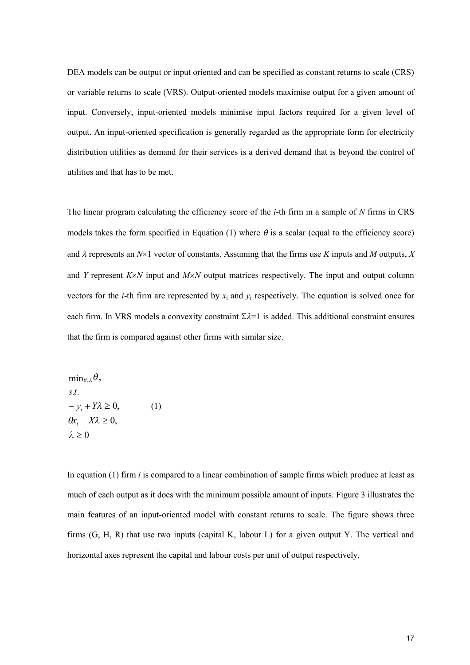DEA models can be output or input oriented and can be specified as constant returns to scale (CRS) or variable returns to scale (VRS). Output-oriented models maximise output for a given amount of input. Conversely, input-oriented models minimise input factors required for a given level of output. An input-oriented specification is generally regarded as the appropriate form for electricity distribution utilities as demand for their services is a derived demand that is beyond the control of utilities and that has to be met.

The linear program calculating the efficiency score of the *i*-th firm in a sample of *N* firms in CRS models takes the form specified in Equation (1) where  $\theta$  is a scalar (equal to the efficiency score) and  $\lambda$  represents an  $N \times 1$  vector of constants. Assuming that the firms use *K* inputs and *M* outputs, *X* and *Y* represent *KN* input and *MN* output matrices respectively. The input and output column vectors for the *i*-th firm are represented by  $x_i$  and  $y_i$  respectively. The equation is solved once for each firm. In VRS models a convexity constraint  $\Sigma \lambda = 1$  is added. This additional constraint ensures that the firm is compared against other firms with similar size.

 $\lambda \geq 0$  $\theta x_i - X\lambda \geq 0,$  $-y_i + Y\lambda \geq 0,$ . . *st*  $\min_{\theta, \lambda} \theta,$ (1)

In equation (1) firm *i* is compared to a linear combination of sample firms which produce at least as much of each output as it does with the minimum possible amount of inputs. Figure 3 illustrates the main features of an input-oriented model with constant returns to scale. The figure shows three firms (G, H, R) that use two inputs (capital K, labour L) for a given output Y. The vertical and horizontal axes represent the capital and labour costs per unit of output respectively.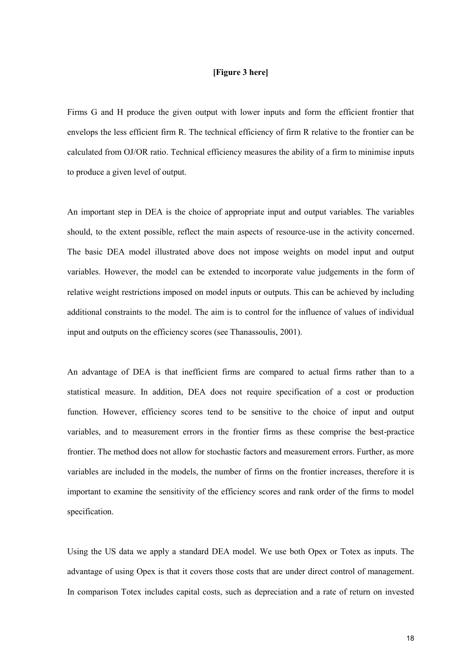#### **[Figure 3 here]**

Firms G and H produce the given output with lower inputs and form the efficient frontier that envelops the less efficient firm R. The technical efficiency of firm R relative to the frontier can be calculated from OJ/OR ratio. Technical efficiency measures the ability of a firm to minimise inputs to produce a given level of output.

An important step in DEA is the choice of appropriate input and output variables. The variables should, to the extent possible, reflect the main aspects of resource-use in the activity concerned. The basic DEA model illustrated above does not impose weights on model input and output variables. However, the model can be extended to incorporate value judgements in the form of relative weight restrictions imposed on model inputs or outputs. This can be achieved by including additional constraints to the model. The aim is to control for the influence of values of individual input and outputs on the efficiency scores (see Thanassoulis, 2001).

An advantage of DEA is that inefficient firms are compared to actual firms rather than to a statistical measure. In addition, DEA does not require specification of a cost or production function. However, efficiency scores tend to be sensitive to the choice of input and output variables, and to measurement errors in the frontier firms as these comprise the best-practice frontier. The method does not allow for stochastic factors and measurement errors. Further, as more variables are included in the models, the number of firms on the frontier increases, therefore it is important to examine the sensitivity of the efficiency scores and rank order of the firms to model specification.

Using the US data we apply a standard DEA model. We use both Opex or Totex as inputs. The advantage of using Opex is that it covers those costs that are under direct control of management. In comparison Totex includes capital costs, such as depreciation and a rate of return on invested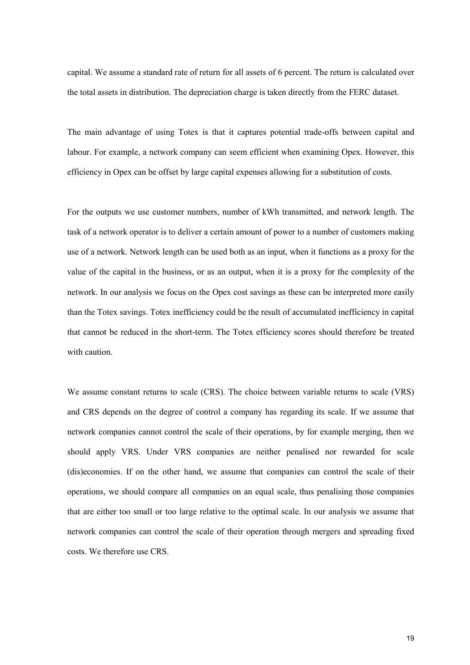capital. We assume a standard rate of return for all assets of 6 percent. The return is calculated over the total assets in distribution. The depreciation charge is taken directly from the FERC dataset.

The main advantage of using Totex is that it captures potential trade-offs between capital and labour. For example, a network company can seem efficient when examining Opex. However, this efficiency in Opex can be offset by large capital expenses allowing for a substitution of costs.

For the outputs we use customer numbers, number of kWh transmitted, and network length. The task of a network operator is to deliver a certain amount of power to a number of customers making use of a network. Network length can be used both as an input, when it functions as a proxy for the value of the capital in the business, or as an output, when it is a proxy for the complexity of the network. In our analysis we focus on the Opex cost savings as these can be interpreted more easily than the Totex savings. Totex inefficiency could be the result of accumulated inefficiency in capital that cannot be reduced in the short-term. The Totex efficiency scores should therefore be treated with caution.

We assume constant returns to scale (CRS). The choice between variable returns to scale (VRS) and CRS depends on the degree of control a company has regarding its scale. If we assume that network companies cannot control the scale of their operations, by for example merging, then we should apply VRS. Under VRS companies are neither penalised nor rewarded for scale (dis)economies. If on the other hand, we assume that companies can control the scale of their operations, we should compare all companies on an equal scale, thus penalising those companies that are either too small or too large relative to the optimal scale. In our analysis we assume that network companies can control the scale of their operation through mergers and spreading fixed costs. We therefore use CRS.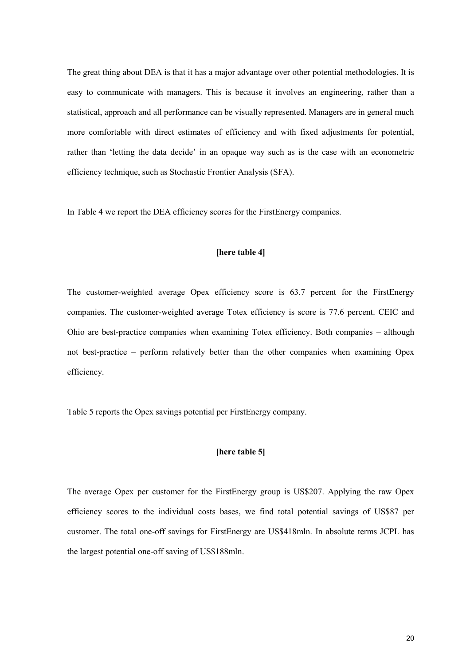The great thing about DEA is that it has a major advantage over other potential methodologies. It is easy to communicate with managers. This is because it involves an engineering, rather than a statistical, approach and all performance can be visually represented. Managers are in general much more comfortable with direct estimates of efficiency and with fixed adjustments for potential, rather than 'letting the data decide' in an opaque way such as is the case with an econometric efficiency technique, such as Stochastic Frontier Analysis (SFA).

In Table 4 we report the DEA efficiency scores for the FirstEnergy companies.

#### **[here table 4]**

The customer-weighted average Opex efficiency score is 63.7 percent for the FirstEnergy companies. The customer-weighted average Totex efficiency is score is 77.6 percent. CEIC and Ohio are best-practice companies when examining Totex efficiency. Both companies – although not best-practice – perform relatively better than the other companies when examining Opex efficiency.

Table 5 reports the Opex savings potential per FirstEnergy company.

#### **[here table 5]**

The average Opex per customer for the FirstEnergy group is US\$207. Applying the raw Opex efficiency scores to the individual costs bases, we find total potential savings of US\$87 per customer. The total one-off savings for FirstEnergy are US\$418mln. In absolute terms JCPL has the largest potential one-off saving of US\$188mln.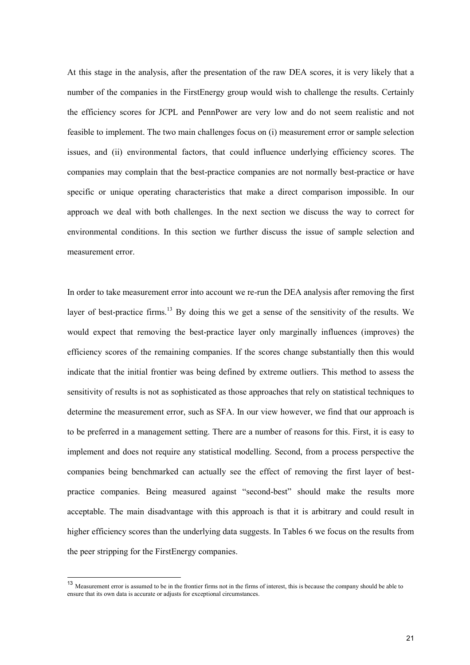At this stage in the analysis, after the presentation of the raw DEA scores, it is very likely that a number of the companies in the FirstEnergy group would wish to challenge the results. Certainly the efficiency scores for JCPL and PennPower are very low and do not seem realistic and not feasible to implement. The two main challenges focus on (i) measurement error or sample selection issues, and (ii) environmental factors, that could influence underlying efficiency scores. The companies may complain that the best-practice companies are not normally best-practice or have specific or unique operating characteristics that make a direct comparison impossible. In our approach we deal with both challenges. In the next section we discuss the way to correct for environmental conditions. In this section we further discuss the issue of sample selection and measurement error.

In order to take measurement error into account we re-run the DEA analysis after removing the first layer of best-practice firms.<sup>13</sup> By doing this we get a sense of the sensitivity of the results. We would expect that removing the best-practice layer only marginally influences (improves) the efficiency scores of the remaining companies. If the scores change substantially then this would indicate that the initial frontier was being defined by extreme outliers. This method to assess the sensitivity of results is not as sophisticated as those approaches that rely on statistical techniques to determine the measurement error, such as SFA. In our view however, we find that our approach is to be preferred in a management setting. There are a number of reasons for this. First, it is easy to implement and does not require any statistical modelling. Second, from a process perspective the companies being benchmarked can actually see the effect of removing the first layer of bestpractice companies. Being measured against "second-best" should make the results more acceptable. The main disadvantage with this approach is that it is arbitrary and could result in higher efficiency scores than the underlying data suggests. In Tables 6 we focus on the results from the peer stripping for the FirstEnergy companies.

<sup>13</sup> Measurement error is assumed to be in the frontier firms not in the firms of interest, this is because the company should be able to ensure that its own data is accurate or adjusts for exceptional circumstances.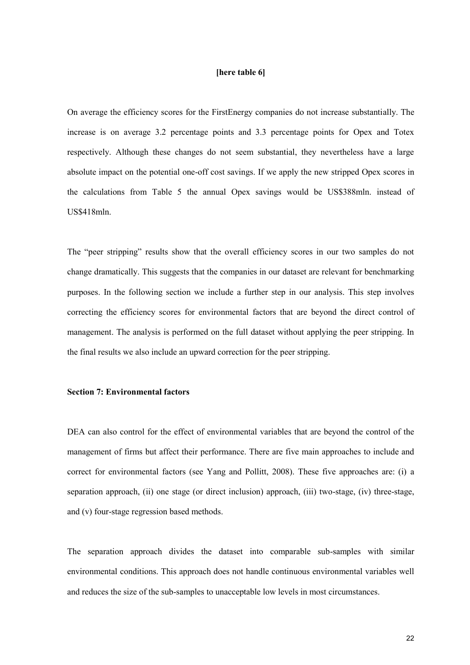#### **[here table 6]**

On average the efficiency scores for the FirstEnergy companies do not increase substantially. The increase is on average 3.2 percentage points and 3.3 percentage points for Opex and Totex respectively. Although these changes do not seem substantial, they nevertheless have a large absolute impact on the potential one-off cost savings. If we apply the new stripped Opex scores in the calculations from Table 5 the annual Opex savings would be US\$388mln. instead of US\$418mln.

The "peer stripping" results show that the overall efficiency scores in our two samples do not change dramatically. This suggests that the companies in our dataset are relevant for benchmarking purposes. In the following section we include a further step in our analysis. This step involves correcting the efficiency scores for environmental factors that are beyond the direct control of management. The analysis is performed on the full dataset without applying the peer stripping. In the final results we also include an upward correction for the peer stripping.

#### **Section 7: Environmental factors**

DEA can also control for the effect of environmental variables that are beyond the control of the management of firms but affect their performance. There are five main approaches to include and correct for environmental factors (see Yang and Pollitt, 2008). These five approaches are: (i) a separation approach, (ii) one stage (or direct inclusion) approach, (iii) two-stage, (iv) three-stage, and (v) four-stage regression based methods.

The separation approach divides the dataset into comparable sub-samples with similar environmental conditions. This approach does not handle continuous environmental variables well and reduces the size of the sub-samples to unacceptable low levels in most circumstances.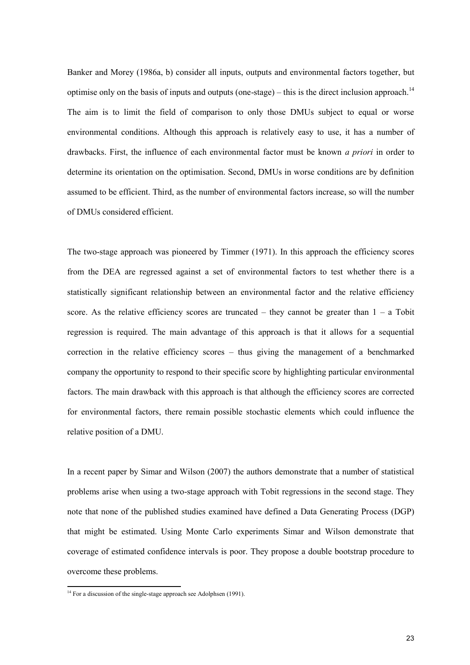Banker and Morey (1986a, b) consider all inputs, outputs and environmental factors together, but optimise only on the basis of inputs and outputs (one-stage) – this is the direct inclusion approach.<sup>14</sup> The aim is to limit the field of comparison to only those DMUs subject to equal or worse environmental conditions. Although this approach is relatively easy to use, it has a number of drawbacks. First, the influence of each environmental factor must be known *a priori* in order to determine its orientation on the optimisation. Second, DMUs in worse conditions are by definition assumed to be efficient. Third, as the number of environmental factors increase, so will the number of DMUs considered efficient.

The two-stage approach was pioneered by Timmer (1971). In this approach the efficiency scores from the DEA are regressed against a set of environmental factors to test whether there is a statistically significant relationship between an environmental factor and the relative efficiency score. As the relative efficiency scores are truncated – they cannot be greater than  $1 - a$  Tobit regression is required. The main advantage of this approach is that it allows for a sequential correction in the relative efficiency scores – thus giving the management of a benchmarked company the opportunity to respond to their specific score by highlighting particular environmental factors. The main drawback with this approach is that although the efficiency scores are corrected for environmental factors, there remain possible stochastic elements which could influence the relative position of a DMU.

In a recent paper by Simar and Wilson (2007) the authors demonstrate that a number of statistical problems arise when using a two-stage approach with Tobit regressions in the second stage. They note that none of the published studies examined have defined a Data Generating Process (DGP) that might be estimated. Using Monte Carlo experiments Simar and Wilson demonstrate that coverage of estimated confidence intervals is poor. They propose a double bootstrap procedure to overcome these problems.

 $14$  For a discussion of the single-stage approach see Adolphsen (1991).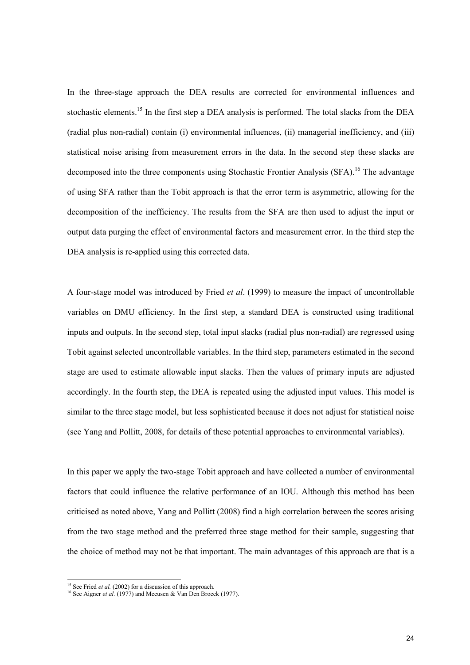In the three-stage approach the DEA results are corrected for environmental influences and stochastic elements.<sup>15</sup> In the first step a DEA analysis is performed. The total slacks from the DEA (radial plus non-radial) contain (i) environmental influences, (ii) managerial inefficiency, and (iii) statistical noise arising from measurement errors in the data. In the second step these slacks are decomposed into the three components using Stochastic Frontier Analysis (SFA).<sup>16</sup> The advantage of using SFA rather than the Tobit approach is that the error term is asymmetric, allowing for the decomposition of the inefficiency. The results from the SFA are then used to adjust the input or output data purging the effect of environmental factors and measurement error. In the third step the DEA analysis is re-applied using this corrected data.

A four-stage model was introduced by Fried *et al*. (1999) to measure the impact of uncontrollable variables on DMU efficiency. In the first step, a standard DEA is constructed using traditional inputs and outputs. In the second step, total input slacks (radial plus non-radial) are regressed using Tobit against selected uncontrollable variables. In the third step, parameters estimated in the second stage are used to estimate allowable input slacks. Then the values of primary inputs are adjusted accordingly. In the fourth step, the DEA is repeated using the adjusted input values. This model is similar to the three stage model, but less sophisticated because it does not adjust for statistical noise (see Yang and Pollitt, 2008, for details of these potential approaches to environmental variables).

In this paper we apply the two-stage Tobit approach and have collected a number of environmental factors that could influence the relative performance of an IOU. Although this method has been criticised as noted above, Yang and Pollitt (2008) find a high correlation between the scores arising from the two stage method and the preferred three stage method for their sample, suggesting that the choice of method may not be that important. The main advantages of this approach are that is a

<sup>&</sup>lt;sup>15</sup> See Fried *et al.* (2002) for a discussion of this approach.

<sup>&</sup>lt;sup>16</sup> See Aigner *et al.* (1977) and Meeusen & Van Den Broeck (1977).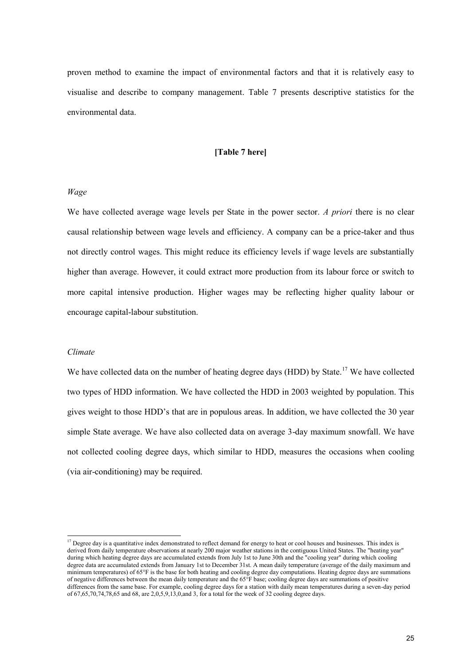proven method to examine the impact of environmental factors and that it is relatively easy to visualise and describe to company management. Table 7 presents descriptive statistics for the environmental data.

#### **[Table 7 here]**

#### *Wage*

We have collected average wage levels per State in the power sector. *A priori* there is no clear causal relationship between wage levels and efficiency. A company can be a price-taker and thus not directly control wages. This might reduce its efficiency levels if wage levels are substantially higher than average. However, it could extract more production from its labour force or switch to more capital intensive production. Higher wages may be reflecting higher quality labour or encourage capital-labour substitution.

#### *Climate*

We have collected data on the number of heating degree days (HDD) by State.<sup>17</sup> We have collected two types of HDD information. We have collected the HDD in 2003 weighted by population. This gives weight to those HDD's that are in populous areas. In addition, we have collected the 30 year simple State average. We have also collected data on average 3-day maximum snowfall. We have not collected cooling degree days, which similar to HDD, measures the occasions when cooling (via air-conditioning) may be required.

<sup>&</sup>lt;sup>17</sup> Degree day is a quantitative index demonstrated to reflect demand for energy to heat or cool houses and businesses. This index is derived from daily temperature observations at nearly 200 major weather stations in the contiguous United States. The "heating year" during which heating degree days are accumulated extends from July 1st to June 30th and the "cooling year" during which cooling during which cooling degree data are accumulated extends from January 1st to December 31st. A mean daily temperature (average of the daily maximum and minimum temperatures) of 65°F is the base for both heating and cooling degree day computations. Heating degree days are summations of negative differences between the mean daily temperature and the 65°F base; cooling degree days are summations of positive differences from the same base. For example, cooling degree days for a station with daily mean temperatures during a seven-day period of 67,65,70,74,78,65 and 68, are 2,0,5,9,13,0,and 3, for a total for the week of 32 cooling degree days.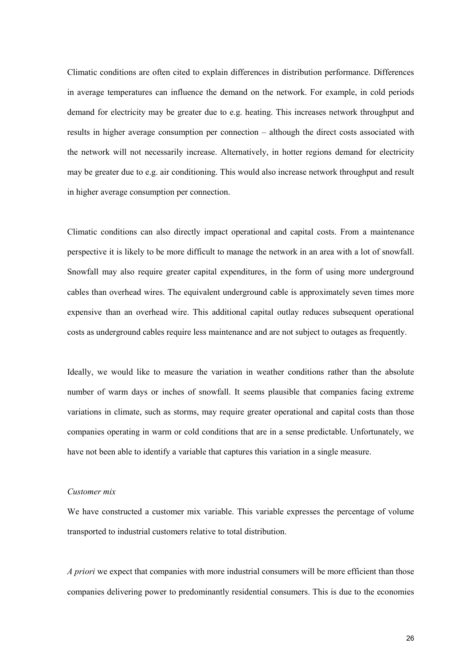Climatic conditions are often cited to explain differences in distribution performance. Differences in average temperatures can influence the demand on the network. For example, in cold periods demand for electricity may be greater due to e.g. heating. This increases network throughput and results in higher average consumption per connection – although the direct costs associated with the network will not necessarily increase. Alternatively, in hotter regions demand for electricity may be greater due to e.g. air conditioning. This would also increase network throughput and result in higher average consumption per connection.

Climatic conditions can also directly impact operational and capital costs. From a maintenance perspective it is likely to be more difficult to manage the network in an area with a lot of snowfall. Snowfall may also require greater capital expenditures, in the form of using more underground cables than overhead wires. The equivalent underground cable is approximately seven times more expensive than an overhead wire. This additional capital outlay reduces subsequent operational costs as underground cables require less maintenance and are not subject to outages as frequently.

Ideally, we would like to measure the variation in weather conditions rather than the absolute number of warm days or inches of snowfall. It seems plausible that companies facing extreme variations in climate, such as storms, may require greater operational and capital costs than those companies operating in warm or cold conditions that are in a sense predictable. Unfortunately, we have not been able to identify a variable that captures this variation in a single measure.

#### *Customer mix*

We have constructed a customer mix variable. This variable expresses the percentage of volume transported to industrial customers relative to total distribution.

*A priori* we expect that companies with more industrial consumers will be more efficient than those companies delivering power to predominantly residential consumers. This is due to the economies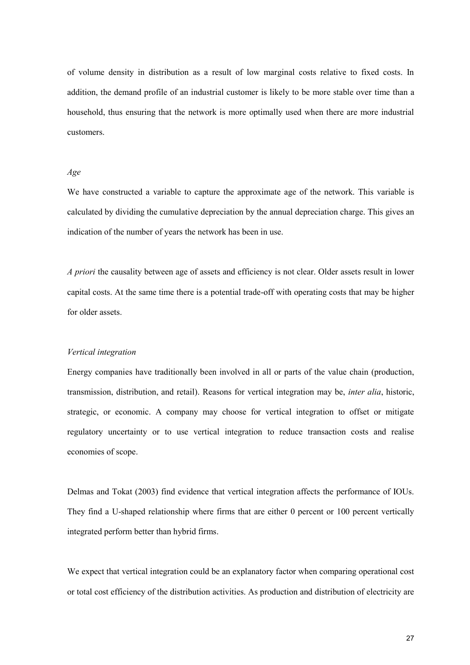of volume density in distribution as a result of low marginal costs relative to fixed costs. In addition, the demand profile of an industrial customer is likely to be more stable over time than a household, thus ensuring that the network is more optimally used when there are more industrial customers.

#### *Age*

We have constructed a variable to capture the approximate age of the network. This variable is calculated by dividing the cumulative depreciation by the annual depreciation charge. This gives an indication of the number of years the network has been in use.

*A priori* the causality between age of assets and efficiency is not clear. Older assets result in lower capital costs. At the same time there is a potential trade-off with operating costs that may be higher for older assets.

#### *Vertical integration*

Energy companies have traditionally been involved in all or parts of the value chain (production, transmission, distribution, and retail). Reasons for vertical integration may be, *inter alia*, historic, strategic, or economic. A company may choose for vertical integration to offset or mitigate regulatory uncertainty or to use vertical integration to reduce transaction costs and realise economies of scope.

Delmas and Tokat (2003) find evidence that vertical integration affects the performance of IOUs. They find a U-shaped relationship where firms that are either 0 percent or 100 percent vertically integrated perform better than hybrid firms.

We expect that vertical integration could be an explanatory factor when comparing operational cost or total cost efficiency of the distribution activities. As production and distribution of electricity are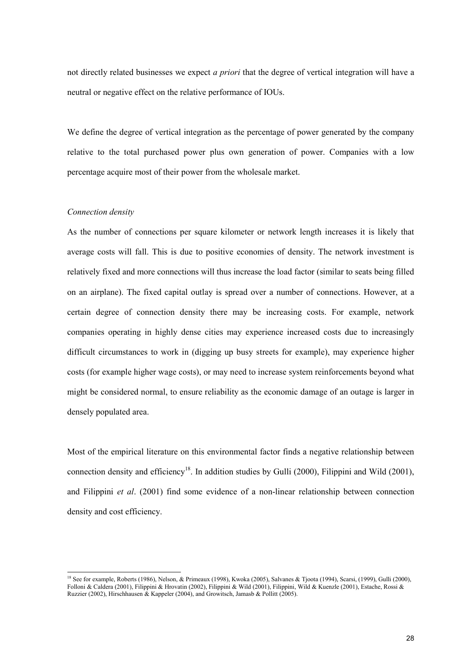not directly related businesses we expect *a priori* that the degree of vertical integration will have a neutral or negative effect on the relative performance of IOUs.

We define the degree of vertical integration as the percentage of power generated by the company relative to the total purchased power plus own generation of power. Companies with a low percentage acquire most of their power from the wholesale market.

#### *Connection density*

As the number of connections per square kilometer or network length increases it is likely that average costs will fall. This is due to positive economies of density. The network investment is relatively fixed and more connections will thus increase the load factor (similar to seats being filled on an airplane). The fixed capital outlay is spread over a number of connections. However, at a certain degree of connection density there may be increasing costs. For example, network companies operating in highly dense cities may experience increased costs due to increasingly difficult circumstances to work in (digging up busy streets for example), may experience higher costs (for example higher wage costs), or may need to increase system reinforcements beyond what might be considered normal, to ensure reliability as the economic damage of an outage is larger in densely populated area.

Most of the empirical literature on this environmental factor finds a negative relationship between connection density and efficiency<sup>18</sup>. In addition studies by Gulli (2000), Filippini and Wild (2001), and Filippini *et al*. (2001) find some evidence of a non-linear relationship between connection density and cost efficiency.

<sup>&</sup>lt;sup>18</sup> See for example, Roberts (1986), Nelson, & Primeaux (1998), Kwoka (2005), Salvanes & Tjoota (1994), Scarsi, (1999), Gulli (2000), Folloni & Caldera (2001), Filippini & Hrovatin (2002), Filippini & Wild (2001), Filippini, Wild & Kuenzle (2001), Estache, Rossi & Ruzzier (2002), Hirschhausen & Kappeler (2004), and Growitsch, Jamasb & Pollitt (2005).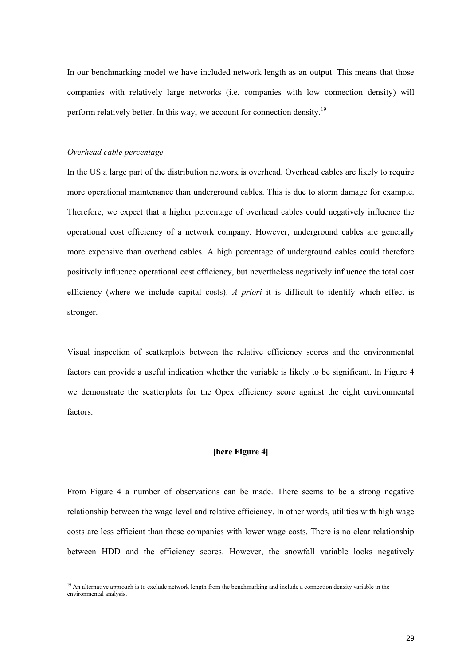In our benchmarking model we have included network length as an output. This means that those companies with relatively large networks (i.e. companies with low connection density) will perform relatively better. In this way, we account for connection density.<sup>19</sup>

#### *Overhead cable percentage*

In the US a large part of the distribution network is overhead. Overhead cables are likely to require more operational maintenance than underground cables. This is due to storm damage for example. Therefore, we expect that a higher percentage of overhead cables could negatively influence the operational cost efficiency of a network company. However, underground cables are generally more expensive than overhead cables. A high percentage of underground cables could therefore positively influence operational cost efficiency, but nevertheless negatively influence the total cost efficiency (where we include capital costs). *A priori* it is difficult to identify which effect is stronger.

Visual inspection of scatterplots between the relative efficiency scores and the environmental factors can provide a useful indication whether the variable is likely to be significant. In Figure 4 we demonstrate the scatterplots for the Opex efficiency score against the eight environmental factors.

#### **[here Figure 4]**

From Figure 4 a number of observations can be made. There seems to be a strong negative relationship between the wage level and relative efficiency. In other words, utilities with high wage costs are less efficient than those companies with lower wage costs. There is no clear relationship between HDD and the efficiency scores. However, the snowfall variable looks negatively

<sup>&</sup>lt;sup>19</sup> An alternative approach is to exclude network length from the benchmarking and include a connection density variable in the environmental analysis.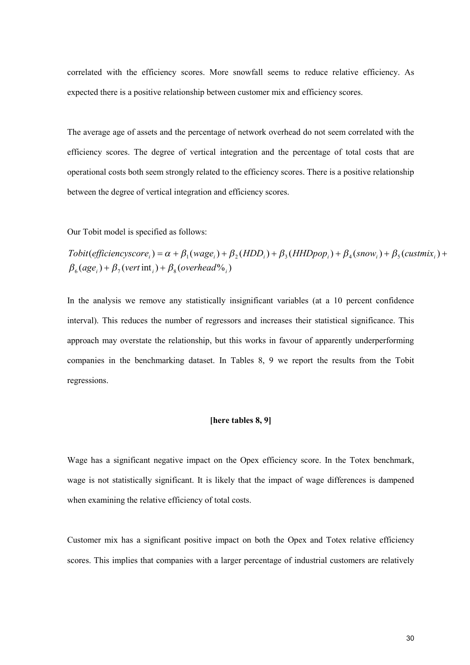correlated with the efficiency scores. More snowfall seems to reduce relative efficiency. As expected there is a positive relationship between customer mix and efficiency scores.

The average age of assets and the percentage of network overhead do not seem correlated with the efficiency scores. The degree of vertical integration and the percentage of total costs that are operational costs both seem strongly related to the efficiency scores. There is a positive relationship between the degree of vertical integration and efficiency scores.

Our Tobit model is specified as follows:

 $\beta_6(age_i) + \beta_7(vert\; \text{int}_i) + \beta_8(overhead\%_i)$  $To bit (efficiency score_i) = \alpha + \beta_1 ( wage_i) + \beta_2 (HDD_i) + \beta_3 (HHDpop_i) + \beta_4 (snow_i) + \beta_5 (customix_i) +$ 

In the analysis we remove any statistically insignificant variables (at a 10 percent confidence interval). This reduces the number of regressors and increases their statistical significance. This approach may overstate the relationship, but this works in favour of apparently underperforming companies in the benchmarking dataset. In Tables 8, 9 we report the results from the Tobit regressions.

#### **[here tables 8, 9]**

Wage has a significant negative impact on the Opex efficiency score. In the Totex benchmark, wage is not statistically significant. It is likely that the impact of wage differences is dampened when examining the relative efficiency of total costs.

Customer mix has a significant positive impact on both the Opex and Totex relative efficiency scores. This implies that companies with a larger percentage of industrial customers are relatively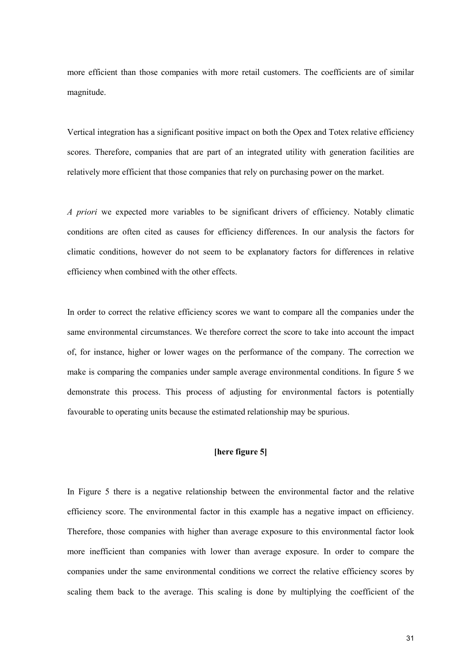more efficient than those companies with more retail customers. The coefficients are of similar magnitude.

Vertical integration has a significant positive impact on both the Opex and Totex relative efficiency scores. Therefore, companies that are part of an integrated utility with generation facilities are relatively more efficient that those companies that rely on purchasing power on the market.

*A priori* we expected more variables to be significant drivers of efficiency. Notably climatic conditions are often cited as causes for efficiency differences. In our analysis the factors for climatic conditions, however do not seem to be explanatory factors for differences in relative efficiency when combined with the other effects.

In order to correct the relative efficiency scores we want to compare all the companies under the same environmental circumstances. We therefore correct the score to take into account the impact of, for instance, higher or lower wages on the performance of the company. The correction we make is comparing the companies under sample average environmental conditions. In figure 5 we demonstrate this process. This process of adjusting for environmental factors is potentially favourable to operating units because the estimated relationship may be spurious.

#### **[here figure 5]**

In Figure 5 there is a negative relationship between the environmental factor and the relative efficiency score. The environmental factor in this example has a negative impact on efficiency. Therefore, those companies with higher than average exposure to this environmental factor look more inefficient than companies with lower than average exposure. In order to compare the companies under the same environmental conditions we correct the relative efficiency scores by scaling them back to the average. This scaling is done by multiplying the coefficient of the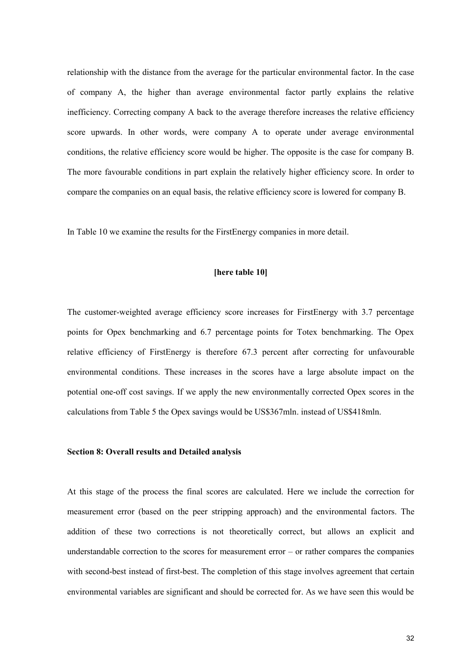relationship with the distance from the average for the particular environmental factor. In the case of company A, the higher than average environmental factor partly explains the relative inefficiency. Correcting company A back to the average therefore increases the relative efficiency score upwards. In other words, were company A to operate under average environmental conditions, the relative efficiency score would be higher. The opposite is the case for company B. The more favourable conditions in part explain the relatively higher efficiency score. In order to compare the companies on an equal basis, the relative efficiency score is lowered for company B.

In Table 10 we examine the results for the FirstEnergy companies in more detail.

#### **[here table 10]**

The customer-weighted average efficiency score increases for FirstEnergy with 3.7 percentage points for Opex benchmarking and 6.7 percentage points for Totex benchmarking. The Opex relative efficiency of FirstEnergy is therefore 67.3 percent after correcting for unfavourable environmental conditions. These increases in the scores have a large absolute impact on the potential one-off cost savings. If we apply the new environmentally corrected Opex scores in the calculations from Table 5 the Opex savings would be US\$367mln. instead of US\$418mln.

#### **Section 8: Overall results and Detailed analysis**

At this stage of the process the final scores are calculated. Here we include the correction for measurement error (based on the peer stripping approach) and the environmental factors. The addition of these two corrections is not theoretically correct, but allows an explicit and understandable correction to the scores for measurement error – or rather compares the companies with second-best instead of first-best. The completion of this stage involves agreement that certain environmental variables are significant and should be corrected for. As we have seen this would be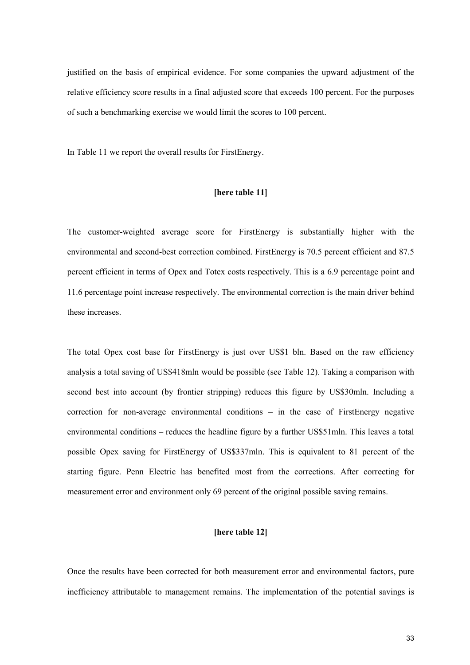justified on the basis of empirical evidence. For some companies the upward adjustment of the relative efficiency score results in a final adjusted score that exceeds 100 percent. For the purposes of such a benchmarking exercise we would limit the scores to 100 percent.

In Table 11 we report the overall results for FirstEnergy.

#### **[here table 11]**

The customer-weighted average score for FirstEnergy is substantially higher with the environmental and second-best correction combined. FirstEnergy is 70.5 percent efficient and 87.5 percent efficient in terms of Opex and Totex costs respectively. This is a 6.9 percentage point and 11.6 percentage point increase respectively. The environmental correction is the main driver behind these increases.

The total Opex cost base for FirstEnergy is just over US\$1 bln. Based on the raw efficiency analysis a total saving of US\$418mln would be possible (see Table 12). Taking a comparison with second best into account (by frontier stripping) reduces this figure by US\$30mln. Including a correction for non-average environmental conditions – in the case of FirstEnergy negative environmental conditions – reduces the headline figure by a further US\$51mln. This leaves a total possible Opex saving for FirstEnergy of US\$337mln. This is equivalent to 81 percent of the starting figure. Penn Electric has benefited most from the corrections. After correcting for measurement error and environment only 69 percent of the original possible saving remains.

#### **[here table 12]**

Once the results have been corrected for both measurement error and environmental factors, pure inefficiency attributable to management remains. The implementation of the potential savings is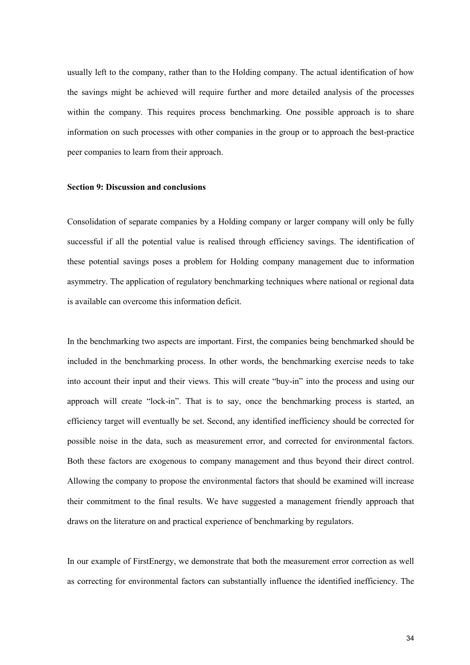usually left to the company, rather than to the Holding company. The actual identification of how the savings might be achieved will require further and more detailed analysis of the processes within the company. This requires process benchmarking. One possible approach is to share information on such processes with other companies in the group or to approach the best-practice peer companies to learn from their approach.

#### **Section 9: Discussion and conclusions**

Consolidation of separate companies by a Holding company or larger company will only be fully successful if all the potential value is realised through efficiency savings. The identification of these potential savings poses a problem for Holding company management due to information asymmetry. The application of regulatory benchmarking techniques where national or regional data is available can overcome this information deficit.

In the benchmarking two aspects are important. First, the companies being benchmarked should be included in the benchmarking process. In other words, the benchmarking exercise needs to take into account their input and their views. This will create "buy-in" into the process and using our approach will create "lock-in". That is to say, once the benchmarking process is started, an efficiency target will eventually be set. Second, any identified inefficiency should be corrected for possible noise in the data, such as measurement error, and corrected for environmental factors. Both these factors are exogenous to company management and thus beyond their direct control. Allowing the company to propose the environmental factors that should be examined will increase their commitment to the final results. We have suggested a management friendly approach that draws on the literature on and practical experience of benchmarking by regulators.

In our example of FirstEnergy, we demonstrate that both the measurement error correction as well as correcting for environmental factors can substantially influence the identified inefficiency. The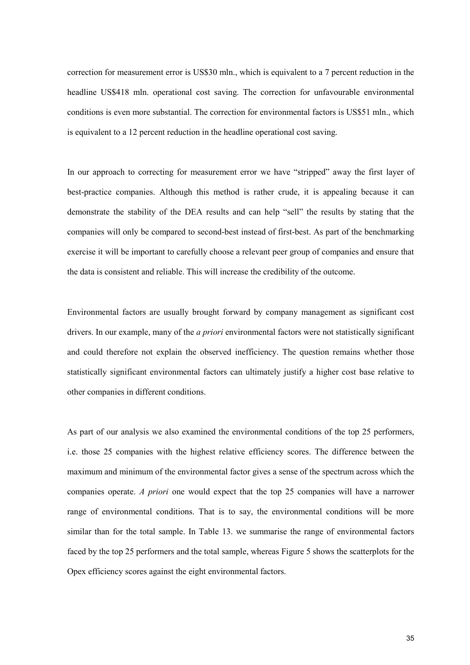correction for measurement error is US\$30 mln., which is equivalent to a 7 percent reduction in the headline US\$418 mln. operational cost saving. The correction for unfavourable environmental conditions is even more substantial. The correction for environmental factors is US\$51 mln., which is equivalent to a 12 percent reduction in the headline operational cost saving.

In our approach to correcting for measurement error we have "stripped" away the first layer of best-practice companies. Although this method is rather crude, it is appealing because it can demonstrate the stability of the DEA results and can help "sell" the results by stating that the companies will only be compared to second-best instead of first-best. As part of the benchmarking exercise it will be important to carefully choose a relevant peer group of companies and ensure that the data is consistent and reliable. This will increase the credibility of the outcome.

Environmental factors are usually brought forward by company management as significant cost drivers. In our example, many of the *a priori* environmental factors were not statistically significant and could therefore not explain the observed inefficiency. The question remains whether those statistically significant environmental factors can ultimately justify a higher cost base relative to other companies in different conditions.

As part of our analysis we also examined the environmental conditions of the top 25 performers, i.e. those 25 companies with the highest relative efficiency scores. The difference between the maximum and minimum of the environmental factor gives a sense of the spectrum across which the companies operate. *A priori* one would expect that the top 25 companies will have a narrower range of environmental conditions. That is to say, the environmental conditions will be more similar than for the total sample. In Table 13. we summarise the range of environmental factors faced by the top 25 performers and the total sample, whereas Figure 5 shows the scatterplots for the Opex efficiency scores against the eight environmental factors.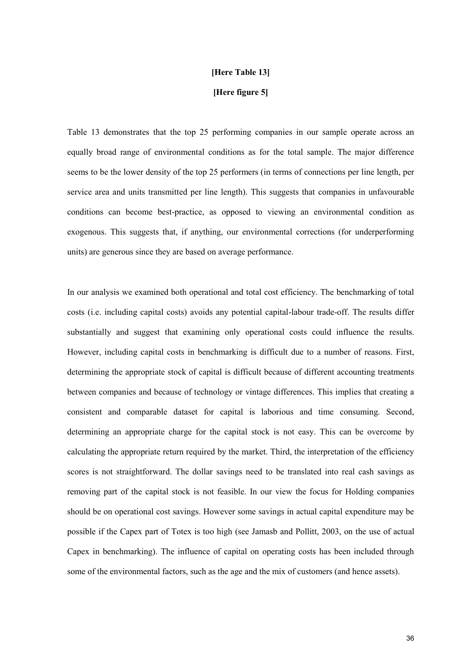#### **[Here Table 13]**

#### **[Here figure 5]**

Table 13 demonstrates that the top 25 performing companies in our sample operate across an equally broad range of environmental conditions as for the total sample. The major difference seems to be the lower density of the top 25 performers (in terms of connections per line length, per service area and units transmitted per line length). This suggests that companies in unfavourable conditions can become best-practice, as opposed to viewing an environmental condition as exogenous. This suggests that, if anything, our environmental corrections (for underperforming units) are generous since they are based on average performance.

In our analysis we examined both operational and total cost efficiency. The benchmarking of total costs (i.e. including capital costs) avoids any potential capital-labour trade-off. The results differ substantially and suggest that examining only operational costs could influence the results. However, including capital costs in benchmarking is difficult due to a number of reasons. First, determining the appropriate stock of capital is difficult because of different accounting treatments between companies and because of technology or vintage differences. This implies that creating a consistent and comparable dataset for capital is laborious and time consuming. Second, determining an appropriate charge for the capital stock is not easy. This can be overcome by calculating the appropriate return required by the market. Third, the interpretation of the efficiency scores is not straightforward. The dollar savings need to be translated into real cash savings as removing part of the capital stock is not feasible. In our view the focus for Holding companies should be on operational cost savings. However some savings in actual capital expenditure may be possible if the Capex part of Totex is too high (see Jamasb and Pollitt, 2003, on the use of actual Capex in benchmarking). The influence of capital on operating costs has been included through some of the environmental factors, such as the age and the mix of customers (and hence assets).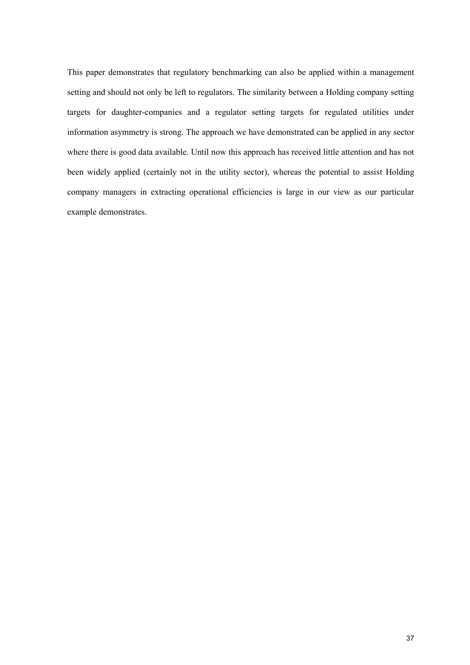This paper demonstrates that regulatory benchmarking can also be applied within a management setting and should not only be left to regulators. The similarity between a Holding company setting targets for daughter-companies and a regulator setting targets for regulated utilities under information asymmetry is strong. The approach we have demonstrated can be applied in any sector where there is good data available. Until now this approach has received little attention and has not been widely applied (certainly not in the utility sector), whereas the potential to assist Holding company managers in extracting operational efficiencies is large in our view as our particular example demonstrates.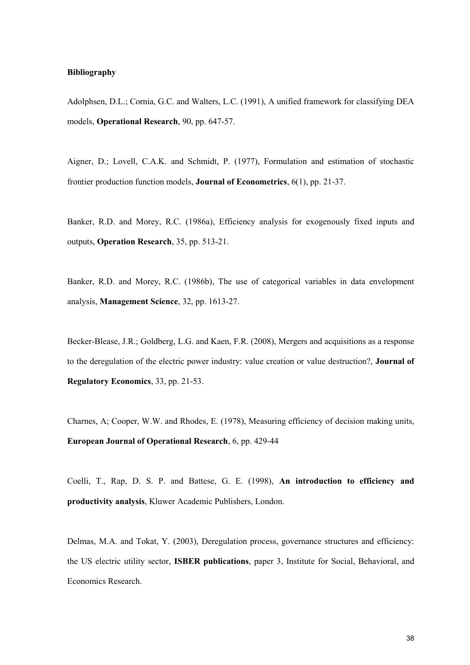#### **Bibliography**

Adolphsen, D.L.; Cornia, G.C. and Walters, L.C. (1991), A unified framework for classifying DEA models, **Operational Research**, 90, pp. 647-57.

Aigner, D.; Lovell, C.A.K. and Schmidt, P. (1977), Formulation and estimation of stochastic frontier production function models, **Journal of Econometrics**, 6(1), pp. 21-37.

Banker, R.D. and Morey, R.C. (1986a), Efficiency analysis for exogenously fixed inputs and outputs, **Operation Research**, 35, pp. 513-21.

Banker, R.D. and Morey, R.C. (1986b), The use of categorical variables in data envelopment analysis, **Management Science**, 32, pp. 1613-27.

Becker-Blease, J.R.; Goldberg, L.G. and Kaen, F.R. (2008), Mergers and acquisitions as a response to the deregulation of the electric power industry: value creation or value destruction?, **Journal of Regulatory Economics**, 33, pp. 21-53.

Charnes, A; Cooper, W.W. and Rhodes, E. (1978), Measuring efficiency of decision making units, **European Journal of Operational Research**, 6, pp. 429-44

Coelli, T., Rap, D. S. P. and Battese, G. E. (1998), **An introduction to efficiency and productivity analysis**, Kluwer Academic Publishers, London.

Delmas, M.A. and Tokat, Y. (2003), Deregulation process, governance structures and efficiency: the US electric utility sector, **ISBER publications**, paper 3, Institute for Social, Behavioral, and Economics Research.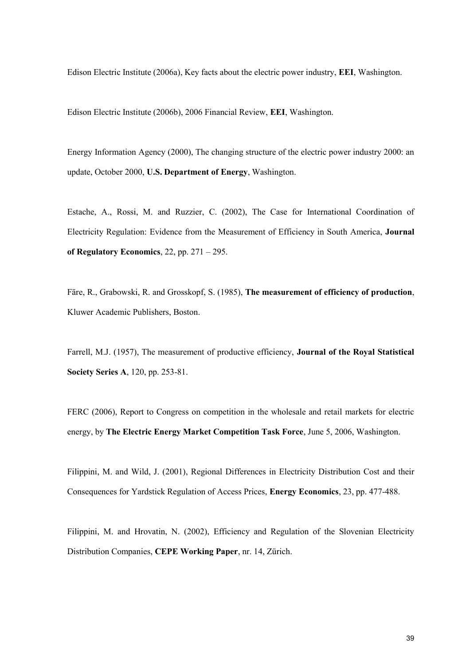Edison Electric Institute (2006a), Key facts about the electric power industry, **EEI**, Washington.

Edison Electric Institute (2006b), 2006 Financial Review, **EEI**, Washington.

Energy Information Agency (2000), The changing structure of the electric power industry 2000: an update, October 2000, **U.S. Department of Energy**, Washington.

Estache, A., Rossi, M. and Ruzzier, C. (2002), The Case for International Coordination of Electricity Regulation: Evidence from the Measurement of Efficiency in South America, **Journal of Regulatory Economics**, 22, pp. 271 – 295.

Färe, R., Grabowski, R. and Grosskopf, S. (1985), **The measurement of efficiency of production**, Kluwer Academic Publishers, Boston.

Farrell, M.J. (1957), The measurement of productive efficiency, **Journal of the Royal Statistical Society Series A**, 120, pp. 253-81.

FERC (2006), Report to Congress on competition in the wholesale and retail markets for electric energy, by **The Electric Energy Market Competition Task Force**, June 5, 2006, Washington.

Filippini, M. and Wild, J. (2001), Regional Differences in Electricity Distribution Cost and their Consequences for Yardstick Regulation of Access Prices, **Energy Economics**, 23, pp. 477-488.

Filippini, M. and Hrovatin, N. (2002), Efficiency and Regulation of the Slovenian Electricity Distribution Companies, **CEPE Working Paper**, nr. 14, Zürich.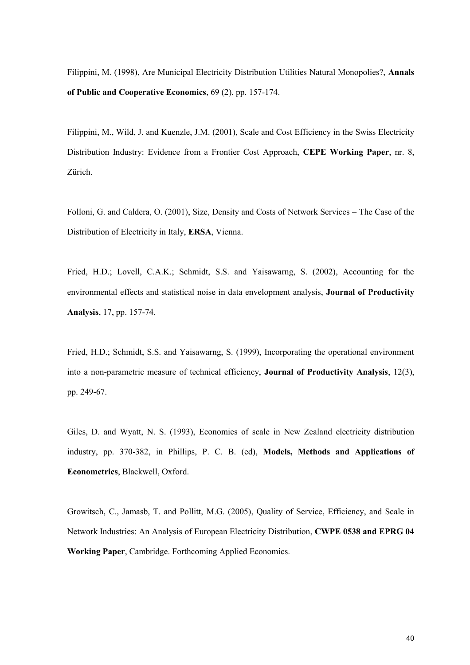Filippini, M. (1998), Are Municipal Electricity Distribution Utilities Natural Monopolies?, **Annals of Public and Cooperative Economics**, 69 (2), pp. 157-174.

Filippini, M., Wild, J. and Kuenzle, J.M. (2001), Scale and Cost Efficiency in the Swiss Electricity Distribution Industry: Evidence from a Frontier Cost Approach, **CEPE Working Paper**, nr. 8, Zürich.

Folloni, G. and Caldera, O. (2001), Size, Density and Costs of Network Services – The Case of the Distribution of Electricity in Italy, **ERSA**, Vienna.

Fried, H.D.; Lovell, C.A.K.; Schmidt, S.S. and Yaisawarng, S. (2002), Accounting for the environmental effects and statistical noise in data envelopment analysis, **Journal of Productivity Analysis**, 17, pp. 157-74.

Fried, H.D.; Schmidt, S.S. and Yaisawarng, S. (1999), Incorporating the operational environment into a non-parametric measure of technical efficiency, **Journal of Productivity Analysis**, 12(3), pp. 249-67.

Giles, D. and Wyatt, N. S. (1993), Economies of scale in New Zealand electricity distribution industry, pp. 370-382, in Phillips, P. C. B. (ed), **Models, Methods and Applications of Econometrics**, Blackwell, Oxford.

Growitsch, C., Jamasb, T. and Pollitt, M.G. (2005), Quality of Service, Efficiency, and Scale in Network Industries: An Analysis of European Electricity Distribution, **CWPE 0538 and EPRG 04 Working Paper**, Cambridge. Forthcoming Applied Economics.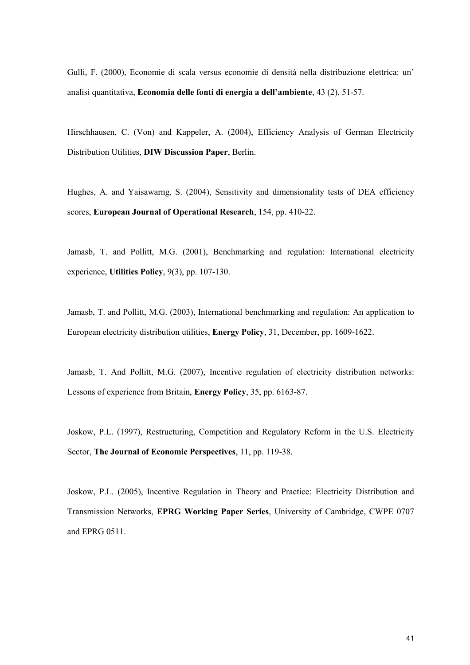Gulli, F. (2000), Economie di scala versus economie di densità nella distribuzione elettrica: un' analisi quantitativa, **Economia delle fonti di energia a dell'ambiente**, 43 (2), 51-57.

Hirschhausen, C. (Von) and Kappeler, A. (2004), Efficiency Analysis of German Electricity Distribution Utilities, **DIW Discussion Paper**, Berlin.

Hughes, A. and Yaisawarng, S. (2004), Sensitivity and dimensionality tests of DEA efficiency scores, **European Journal of Operational Research**, 154, pp. 410-22.

Jamasb, T. and Pollitt, M.G. (2001), Benchmarking and regulation: International electricity experience, **Utilities Policy**, 9(3), pp. 107-130.

Jamasb, T. and Pollitt, M.G. (2003), International benchmarking and regulation: An application to European electricity distribution utilities, **Energy Policy**, 31, December, pp. 1609-1622.

Jamasb, T. And Pollitt, M.G. (2007), Incentive regulation of electricity distribution networks: Lessons of experience from Britain, **Energy Policy**, 35, pp. 6163-87.

Joskow, P.L. (1997), Restructuring, Competition and Regulatory Reform in the U.S. Electricity Sector, **The Journal of Economic Perspectives**, 11, pp. 119-38.

Joskow, P.L. (2005), Incentive Regulation in Theory and Practice: Electricity Distribution and Transmission Networks, **EPRG Working Paper Series**, University of Cambridge, CWPE 0707 and EPRG 0511.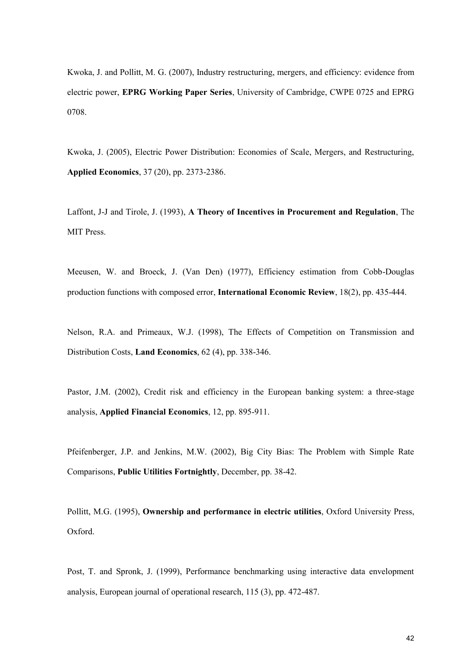Kwoka, J. and Pollitt, M. G. (2007), Industry restructuring, mergers, and efficiency: evidence from electric power, **EPRG Working Paper Series**, University of Cambridge, CWPE 0725 and EPRG 0708.

Kwoka, J. (2005), Electric Power Distribution: Economies of Scale, Mergers, and Restructuring, **Applied Economics**, 37 (20), pp. 2373-2386.

Laffont, J-J and Tirole, J. (1993), **A Theory of Incentives in Procurement and Regulation**, The MIT Press.

Meeusen, W. and Broeck, J. (Van Den) (1977), Efficiency estimation from Cobb-Douglas production functions with composed error, **International Economic Review**, 18(2), pp. 435-444.

Nelson, R.A. and Primeaux, W.J. (1998), The Effects of Competition on Transmission and Distribution Costs, **Land Economics**, 62 (4), pp. 338-346.

Pastor, J.M. (2002), Credit risk and efficiency in the European banking system: a three-stage analysis, **Applied Financial Economics**, 12, pp. 895-911.

Pfeifenberger, J.P. and Jenkins, M.W. (2002), Big City Bias: The Problem with Simple Rate Comparisons, **Public Utilities Fortnightly**, December, pp. 38-42.

Pollitt, M.G. (1995), **Ownership and performance in electric utilities**, Oxford University Press, Oxford.

Post, T. and Spronk, J. (1999), Performance benchmarking using interactive data envelopment analysis, European journal of operational research, 115 (3), pp. 472-487.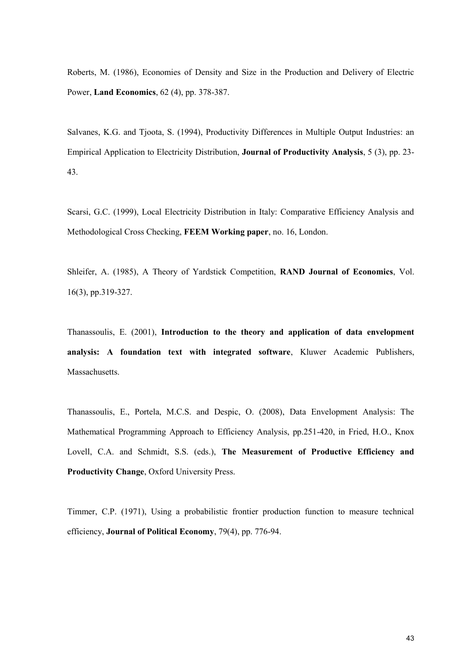Roberts, M. (1986), Economies of Density and Size in the Production and Delivery of Electric Power, **Land Economics**, 62 (4), pp. 378-387.

Salvanes, K.G. and Tjoota, S. (1994), Productivity Differences in Multiple Output Industries: an Empirical Application to Electricity Distribution, **Journal of Productivity Analysis**, 5 (3), pp. 23- 43.

Scarsi, G.C. (1999), Local Electricity Distribution in Italy: Comparative Efficiency Analysis and Methodological Cross Checking, **FEEM Working paper**, no. 16, London.

Shleifer, A. (1985), A Theory of Yardstick Competition, **RAND Journal of Economics**, Vol. 16(3), pp.319-327.

Thanassoulis, E. (2001), **Introduction to the theory and application of data envelopment analysis: A foundation text with integrated software**, Kluwer Academic Publishers, Massachusetts.

Thanassoulis, E., Portela, M.C.S. and Despic, O. (2008), Data Envelopment Analysis: The Mathematical Programming Approach to Efficiency Analysis, pp.251-420, in Fried, H.O., Knox Lovell, C.A. and Schmidt, S.S. (eds.), **The Measurement of Productive Efficiency and Productivity Change**, Oxford University Press.

Timmer, C.P. (1971), Using a probabilistic frontier production function to measure technical efficiency, **Journal of Political Economy**, 79(4), pp. 776-94.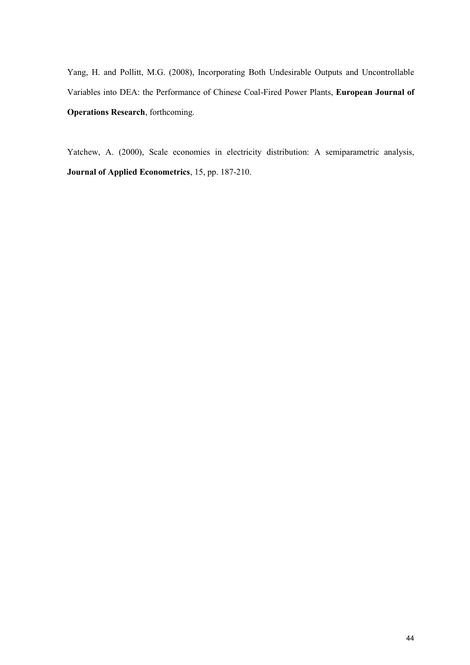Yang, H. and Pollitt, M.G. (2008), Incorporating Both Undesirable Outputs and Uncontrollable Variables into DEA: the Performance of Chinese Coal-Fired Power Plants, **European Journal of Operations Research**, forthcoming.

Yatchew, A. (2000), Scale economies in electricity distribution: A semiparametric analysis, **Journal of Applied Econometrics**, 15, pp. 187-210.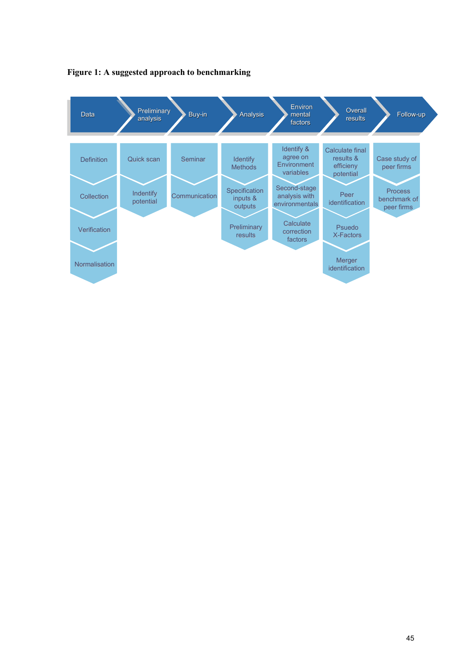

#### **Figure 1: A suggested approach to benchmarking**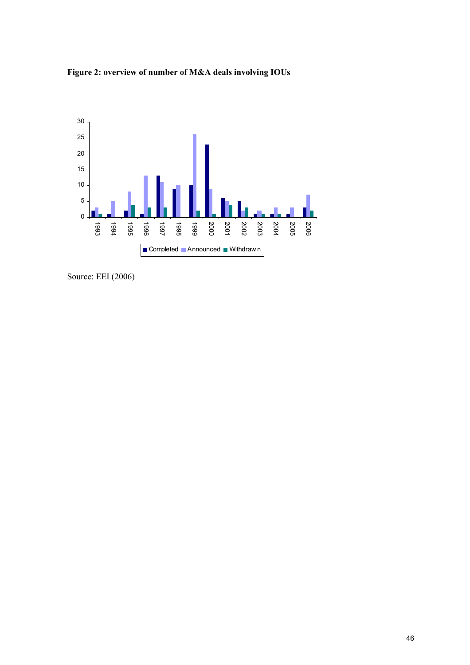



Source: EEI (2006)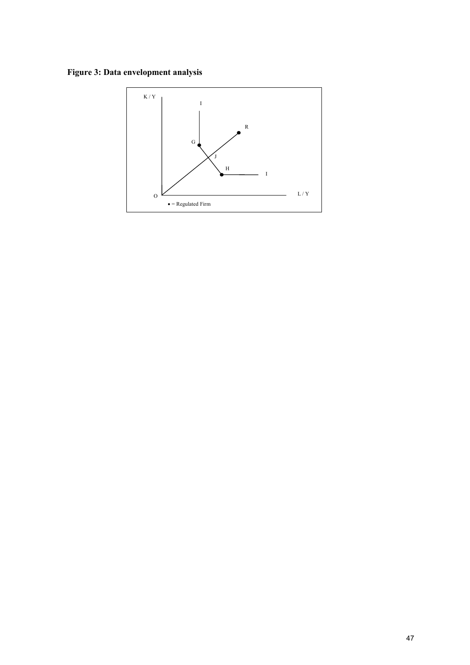**Figure 3: Data envelopment analysis**

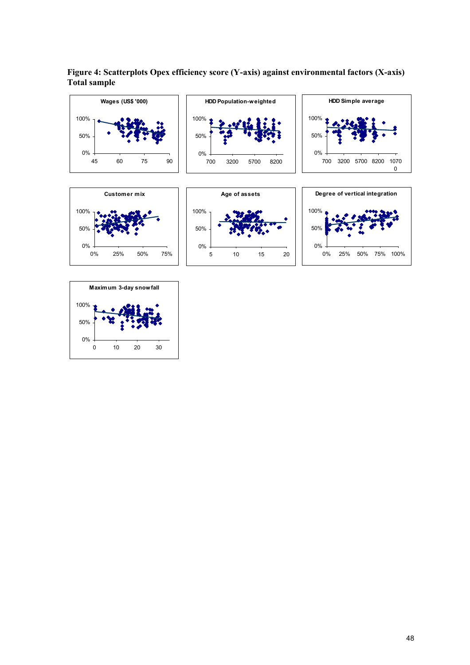

**Figure 4: Scatterplots Opex efficiency score (Y-axis) against environmental factors (X-axis) Total sample**

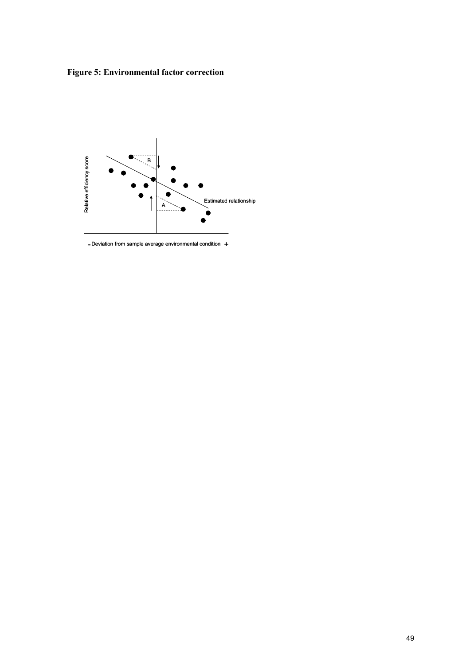**Figure 5: Environmental factor correction**



- Deviation from sample average environmental condition +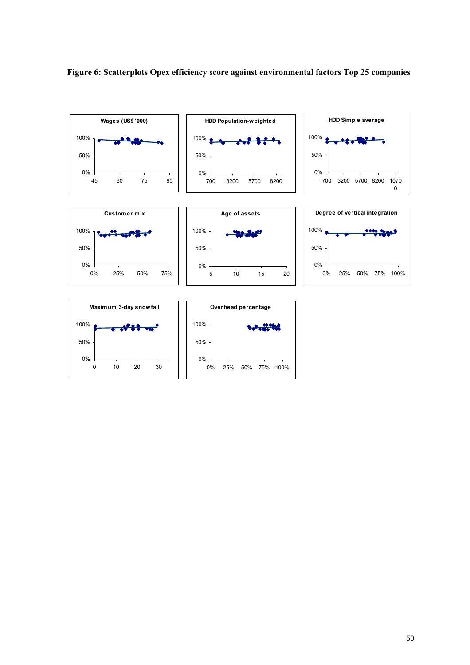

## **Figure 6: Scatterplots Opex efficiency score against environmental factors Top 25 companies**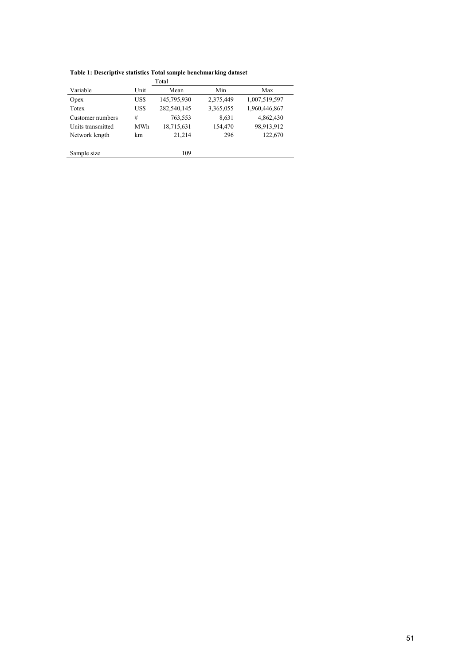|                   |      | Total       |           |               |
|-------------------|------|-------------|-----------|---------------|
| Variable          | Unit | Mean        | Min       | Max           |
| Opex              | US\$ | 145,795,930 | 2,375,449 | 1,007,519,597 |
| Totex             | US\$ | 282,540,145 | 3,365,055 | 1,960,446,867 |
| Customer numbers  | #    | 763,553     | 8,631     | 4,862,430     |
| Units transmitted | MWh  | 18,715,631  | 154,470   | 98,913,912    |
| Network length    | km   | 21,214      | 296       | 122,670       |
|                   |      |             |           |               |
| Sample size       |      | 109         |           |               |

**Table 1: Descriptive statistics Total sample benchmarking dataset**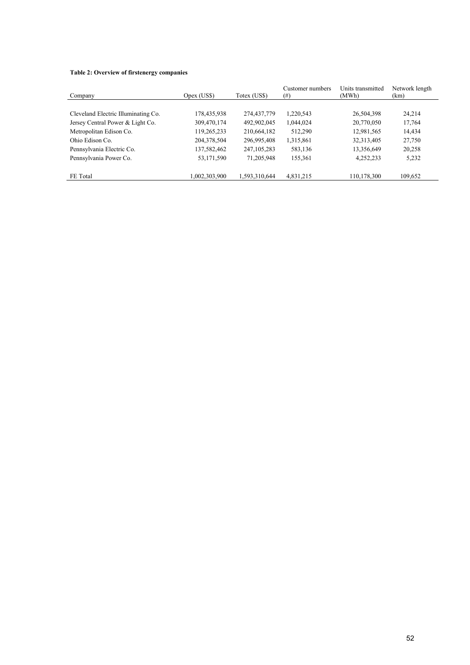#### **Table 2: Overview of firstenergy companies**

| Company                             | Opex (US\$)   | Totex (US\$)  | Customer numbers<br>$^{(#)}$ | Units transmitted<br>(MWh) | Network length<br>(km) |
|-------------------------------------|---------------|---------------|------------------------------|----------------------------|------------------------|
|                                     |               |               |                              |                            |                        |
| Cleveland Electric Illuminating Co. | 178,435,938   | 274,437,779   | 1,220,543                    | 26,504,398                 | 24,214                 |
| Jersey Central Power & Light Co.    | 309,470,174   | 492,902,045   | 1,044,024                    | 20,770,050                 | 17,764                 |
| Metropolitan Edison Co.             | 119,265,233   | 210,664,182   | 512,290                      | 12,981,565                 | 14,434                 |
| Ohio Edison Co.                     | 204,378,504   | 296,995,408   | 1,315,861                    | 32,313,405                 | 27,750                 |
| Pennsylvania Electric Co.           | 137,582,462   | 247, 105, 283 | 583,136                      | 13,356,649                 | 20,258                 |
| Pennsylvania Power Co.              | 53,171,590    | 71,205,948    | 155,361                      | 4,252,233                  | 5,232                  |
|                                     |               |               |                              |                            |                        |
| FE Total                            | 1,002,303,900 | 1,593,310,644 | 4,831,215                    | 110,178,300                | 109,652                |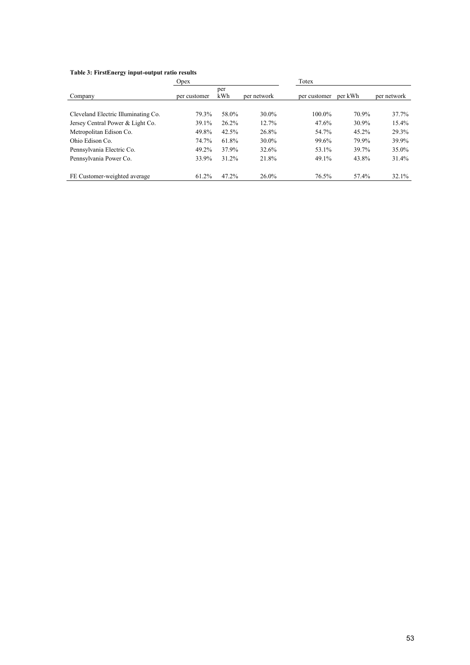#### **Table 3: FirstEnergy input-output ratio results**

|                                     | Opex         |            |             | Totex        |         |             |
|-------------------------------------|--------------|------------|-------------|--------------|---------|-------------|
| Company                             | per customer | per<br>kWh | per network | per customer | per kWh | per network |
| Cleveland Electric Illuminating Co. | 79.3%        | 58.0%      | 30.0%       | $100.0\%$    | 70.9%   | 37.7%       |
| Jersey Central Power & Light Co.    | 39.1%        | 26.2%      | 12.7%       | 47.6%        | 30.9%   | 15.4%       |
| Metropolitan Edison Co.             | 49.8%        | 42.5%      | 26.8%       | 54.7%        | 45.2%   | 29.3%       |
| Ohio Edison Co.                     | 74.7%        | 61.8%      | 30.0%       | 99.6%        | 79.9%   | 39.9%       |
| Pennsylvania Electric Co.           | 49.2%        | 37.9%      | 32.6%       | 53.1%        | 39.7%   | 35.0%       |
| Pennsylvania Power Co.              | 33.9%        | 31.2%      | 21.8%       | 49.1%        | 43.8%   | 31.4%       |
| FE Customer-weighted average        | 61.2%        | 47.2%      | $26.0\%$    | 76.5%        | 57.4%   | 32.1%       |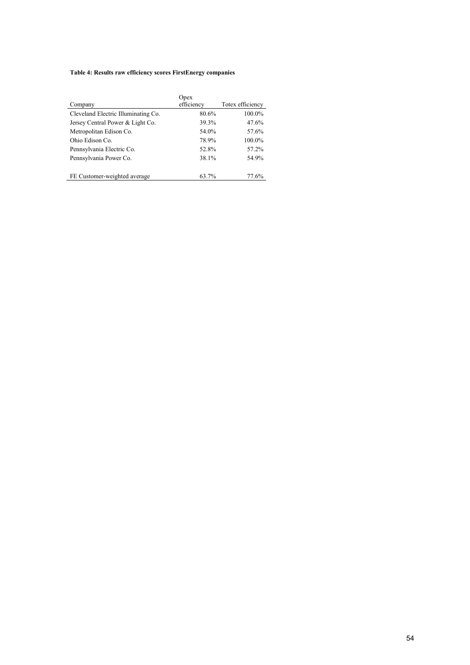#### **Table 4: Results raw efficiency scores FirstEnergy companies**

|                                     | Opex       |                  |
|-------------------------------------|------------|------------------|
| Company                             | efficiency | Totex efficiency |
| Cleveland Electric Illuminating Co. | 80.6%      | 100.0%           |
| Jersey Central Power & Light Co.    | 39.3%      | 47.6%            |
| Metropolitan Edison Co.             | 54.0%      | 57.6%            |
| Ohio Edison Co.                     | 78.9%      | 100.0%           |
| Pennsylvania Electric Co.           | 52.8%      | 57.2%            |
| Pennsylvania Power Co.              | 38.1%      | 54.9%            |
| FE Customer-weighted average        | 63.7%      | 77.6%            |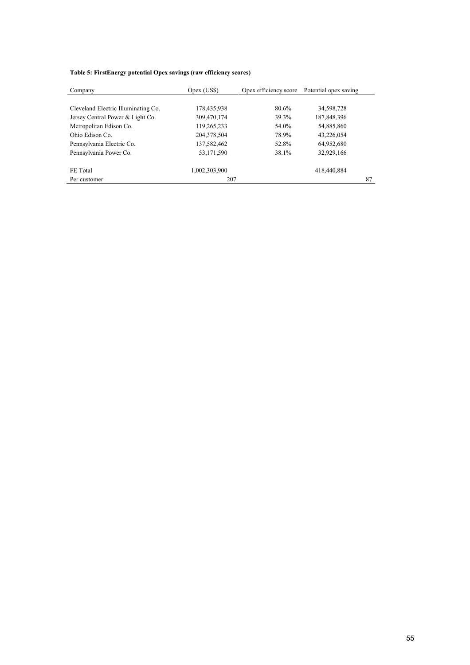#### **Table 5: FirstEnergy potential Opex savings (raw efficiency scores)**

| Company                             | Opex (US\$)   | Opex efficiency score | Potential opex saving |    |
|-------------------------------------|---------------|-----------------------|-----------------------|----|
|                                     |               |                       |                       |    |
| Cleveland Electric Illuminating Co. | 178,435,938   | 80.6%                 | 34,598,728            |    |
| Jersey Central Power & Light Co.    | 309,470,174   | 39.3%                 | 187,848,396           |    |
| Metropolitan Edison Co.             | 119,265,233   | 54.0%                 | 54,885,860            |    |
| Ohio Edison Co.                     | 204,378,504   | 78.9%                 | 43,226,054            |    |
| Pennsylvania Electric Co.           | 137,582,462   | 52.8%                 | 64,952,680            |    |
| Pennsylvania Power Co.              | 53,171,590    | 38.1%                 | 32,929,166            |    |
|                                     |               |                       |                       |    |
| FE Total                            | 1,002,303,900 |                       | 418,440,884           |    |
| Per customer                        | 207           |                       |                       | 87 |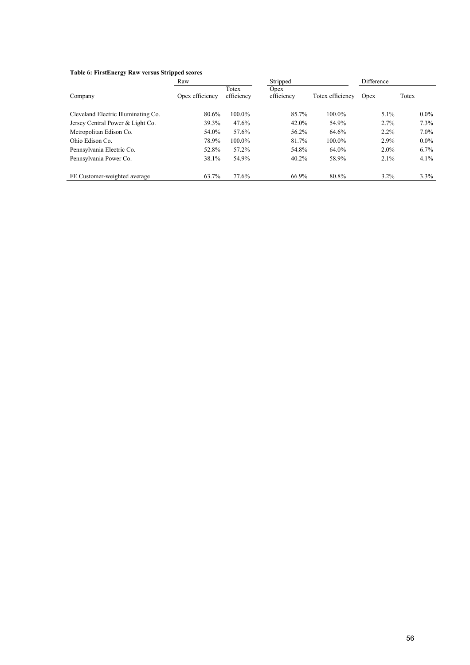#### **Table 6: FirstEnergy Raw versus Stripped scores**

|                                     | Raw             | Stripped            |                    | Difference       |         |         |
|-------------------------------------|-----------------|---------------------|--------------------|------------------|---------|---------|
| Company                             | Opex efficiency | Totex<br>efficiency | Opex<br>efficiency | Totex efficiency | Opex    | Totex   |
| Cleveland Electric Illuminating Co. | 80.6%           | 100.0%              | 85.7%              | 100.0%           | $5.1\%$ | $0.0\%$ |
| Jersey Central Power & Light Co.    | 39.3%           | 47.6%               | 42.0%              | 54.9%            | 2.7%    | 7.3%    |
| Metropolitan Edison Co.             | 54.0%           | 57.6%               | 56.2%              | 64.6%            | $2.2\%$ | $7.0\%$ |
| Ohio Edison Co.                     | 78.9%           | 100.0%              | 81.7%              | 100.0%           | 2.9%    | $0.0\%$ |
| Pennsylvania Electric Co.           | 52.8%           | 57.2%               | 54.8%              | 64.0%            | $2.0\%$ | $6.7\%$ |
| Pennsylvania Power Co.              | 38.1%           | 54.9%               | 40.2%              | 58.9%            | 2.1%    | $4.1\%$ |
| FE Customer-weighted average        | 63.7%           | 77.6%               | 66.9%              | 80.8%            | $3.2\%$ | $3.3\%$ |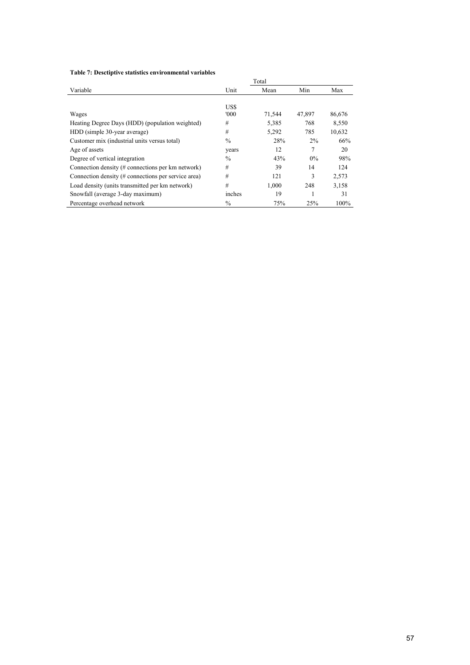#### **Table 7: Desctiptive statistics environmental variables**

|                                                     |               | Total  |        |        |
|-----------------------------------------------------|---------------|--------|--------|--------|
| Variable                                            | Unit          | Mean   | Min    | Max    |
|                                                     |               |        |        |        |
|                                                     | US\$          |        |        |        |
| Wages                                               | '000'         | 71,544 | 47,897 | 86,676 |
| Heating Degree Days (HDD) (population weighted)     | #             | 5,385  | 768    | 8,550  |
| HDD (simple 30-year average)                        | #             | 5,292  | 785    | 10,632 |
| Customer mix (industrial units versus total)        | $\frac{0}{0}$ | 28%    | 2%     | 66%    |
| Age of assets                                       | vears         | 12     | 7      | 20     |
| Degree of vertical integration                      | $\frac{0}{0}$ | 43%    | 0%     | 98%    |
| Connection density (# connections per km network)   | #             | 39     | 14     | 124    |
| Connection density (# connections per service area) | #             | 121    | 3      | 2,573  |
| Load density (units transmitted per km network)     | #             | 1,000  | 248    | 3,158  |
| Snowfall (average 3-day maximum)                    | inches        | 19     |        | 31     |
| Percentage overhead network                         | $\%$          | 75%    | 25%    | 100%   |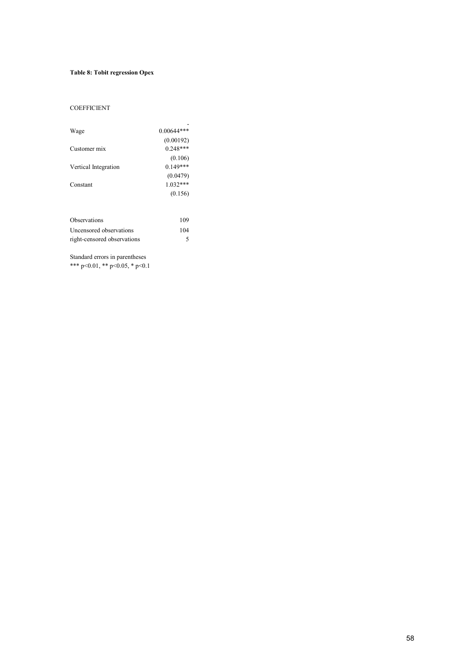#### **Table 8: Tobit regression Opex**

#### COEFFICIENT

| Wage                        | $0.00644***$ |
|-----------------------------|--------------|
|                             | (0.00192)    |
| Customer mix                | $0.248***$   |
|                             | (0.106)      |
| Vertical Integration        | $0.149***$   |
|                             | (0.0479)     |
| Constant                    | $1.032***$   |
|                             | (0.156)      |
|                             |              |
| <b>Observations</b>         | 109          |
| Uncensored observations     | 104          |
| right-censored observations | 5            |

Standard errors in parentheses

\*\*\* p<0.01, \*\* p<0.05, \* p<0.1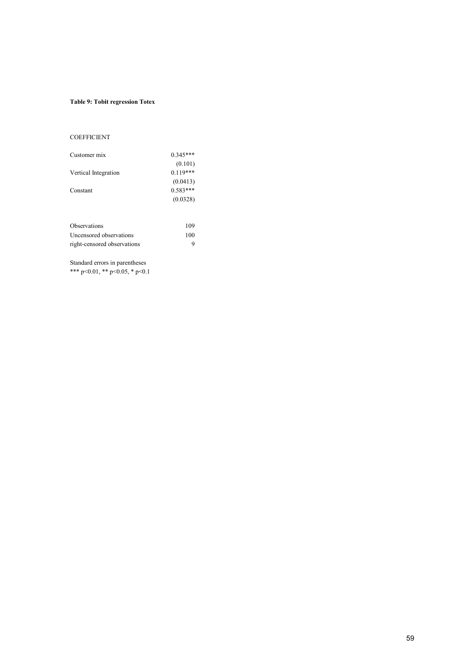#### **Table 9: Tobit regression Totex**

#### **COEFFICIENT**

| Customer mix         | $0.345***$ |
|----------------------|------------|
|                      | (0.101)    |
| Vertical Integration | $0.119***$ |
|                      | (0.0413)   |
| Constant             | $0.583***$ |
|                      | (0.0328)   |
|                      |            |
|                      |            |

| Observations                | 109 |
|-----------------------------|-----|
| Uncensored observations     | 100 |
| right-censored observations | q   |

Standard errors in parentheses \*\*\* p<0.01, \*\* p<0.05, \* p<0.1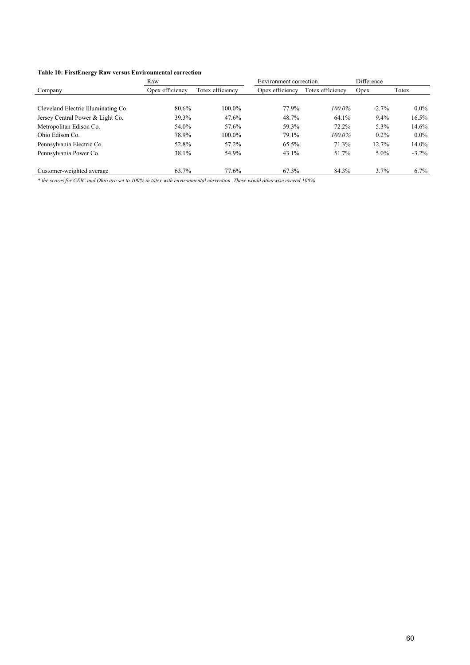#### **Table 10: FirstEnergy Raw versus Environmental correction**

|                                     | Raw             | Difference<br>Environment correction |                 |                  |         |          |
|-------------------------------------|-----------------|--------------------------------------|-----------------|------------------|---------|----------|
| Company                             | Opex efficiency | Totex efficiency                     | Opex efficiency | Totex efficiency | Opex    | Totex    |
|                                     |                 |                                      |                 |                  |         |          |
| Cleveland Electric Illuminating Co. | 80.6%           | 100.0%                               | 77.9%           | $100.0\%$        | $-2.7%$ | $0.0\%$  |
| Jersey Central Power & Light Co.    | 39.3%           | 47.6%                                | 48.7%           | 64.1%            | $9.4\%$ | 16.5%    |
| Metropolitan Edison Co.             | 54.0%           | 57.6%                                | 59.3%           | 72.2%            | 5.3%    | 14.6%    |
| Ohio Edison Co.                     | 78.9%           | 100.0%                               | 79.1%           | 100.0%           | $0.2\%$ | $0.0\%$  |
| Pennsylvania Electric Co.           | 52.8%           | 57.2%                                | 65.5%           | 71.3%            | 12.7%   | $14.0\%$ |
| Pennsylvania Power Co.              | 38.1%           | 54.9%                                | 43.1%           | 51.7%            | $5.0\%$ | $-3.2\%$ |
|                                     |                 |                                      |                 |                  |         |          |
| Customer-weighted average           | 63.7%           | 77.6%                                | 67.3%           | 84.3%            | 3.7%    | $6.7\%$  |

*\* the scores for CEIC and Ohio are set to 100% in totex with environmental correction. These would otherwise exceed 100%.*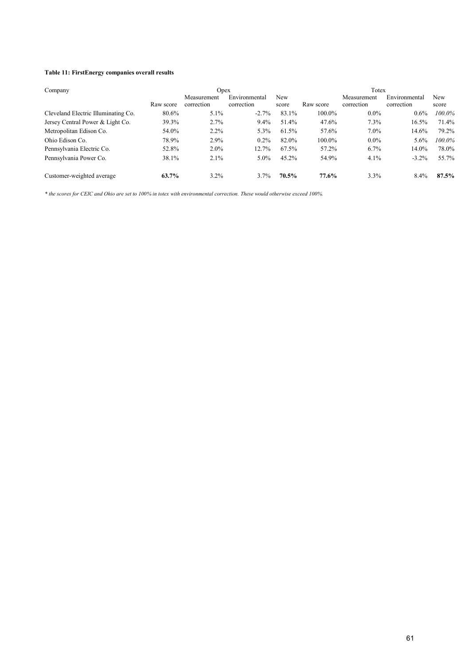#### **Table 11: FirstEnergy companies overall results**

| Company                             |           | Opex                      |                             |              |           | Totex                     |                             |              |
|-------------------------------------|-----------|---------------------------|-----------------------------|--------------|-----------|---------------------------|-----------------------------|--------------|
|                                     | Raw score | Measurement<br>correction | Environmental<br>correction | New<br>score | Raw score | Measurement<br>correction | Environmental<br>correction | New<br>score |
| Cleveland Electric Illuminating Co. | 80.6%     | 5.1%                      | $-2.7\%$                    | 83.1%        | 100.0%    | $0.0\%$                   | $0.6\%$                     | 100.0%       |
| Jersey Central Power & Light Co.    | 39.3%     | 2.7%                      | $9.4\%$                     | 51.4%        | 47.6%     | 7.3%                      | 16.5%                       | 71.4%        |
| Metropolitan Edison Co.             | 54.0%     | $2.2\%$                   | 5.3%                        | 61.5%        | 57.6%     | $7.0\%$                   | 14.6%                       | 79.2%        |
| Ohio Edison Co.                     | 78.9%     | 2.9%                      | $0.2\%$                     | 82.0%        | 100.0%    | $0.0\%$                   | $5.6\%$                     | 100.0%       |
| Pennsylvania Electric Co.           | 52.8%     | $2.0\%$                   | 12.7%                       | 67.5%        | 57.2%     | 6.7%                      | 14.0%                       | 78.0%        |
| Pennsylvania Power Co.              | 38.1%     | 2.1%                      | $5.0\%$                     | 45.2%        | 54.9%     | 4.1%                      | $-3.2\%$                    | 55.7%        |
| Customer-weighted average           | 63.7%     | $3.2\%$                   | 3.7%                        | 70.5%        | 77.6%     | 3.3%                      | 8.4%                        | 87.5%        |

*\* the scores for CEIC and Ohio are set to 100% in totex with environmental correction. These would otherwise exceed 100%.*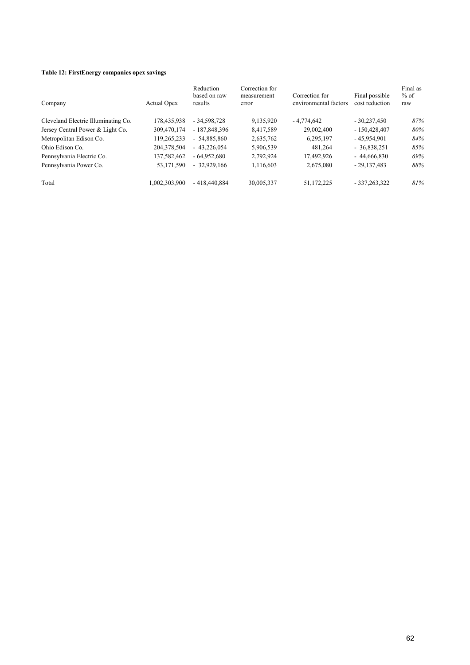#### **Table 12: FirstEnergy companies opex savings**

| Company                             | Actual Opex   | Reduction<br>based on raw<br>results | Correction for<br>measurement<br>error | Correction for<br>environmental factors | Final possible<br>cost reduction | Final as<br>$%$ of<br>raw |
|-------------------------------------|---------------|--------------------------------------|----------------------------------------|-----------------------------------------|----------------------------------|---------------------------|
| Cleveland Electric Illuminating Co. | 178,435,938   | $-34,598,728$                        | 9,135,920                              | $-4,774,642$                            | $-30,237,450$                    | 87%                       |
| Jersey Central Power & Light Co.    | 309,470,174   | $-187,848,396$                       | 8,417,589                              | 29,002,400                              | $-150,428,407$                   | 80%                       |
| Metropolitan Edison Co.             | 119,265,233   | $-54,885,860$                        | 2,635,762                              | 6,295,197                               | $-45,954,901$                    | 84%                       |
| Ohio Edison Co.                     | 204,378,504   | $-43,226,054$                        | 5,906,539                              | 481.264                                 | $-36,838,251$                    | 85%                       |
| Pennsylvania Electric Co.           | 137,582,462   | $-64.952.680$                        | 2,792,924                              | 17,492,926                              | $-44,666,830$                    | 69%                       |
| Pennsylvania Power Co.              | 53,171,590    | $-32,929,166$                        | 1,116,603                              | 2,675,080                               | $-29,137,483$                    | 88%                       |
| Total                               | 1.002.303.900 | $-418.440.884$                       | 30,005,337                             | 51,172,225                              | $-337,263,322$                   | 81%                       |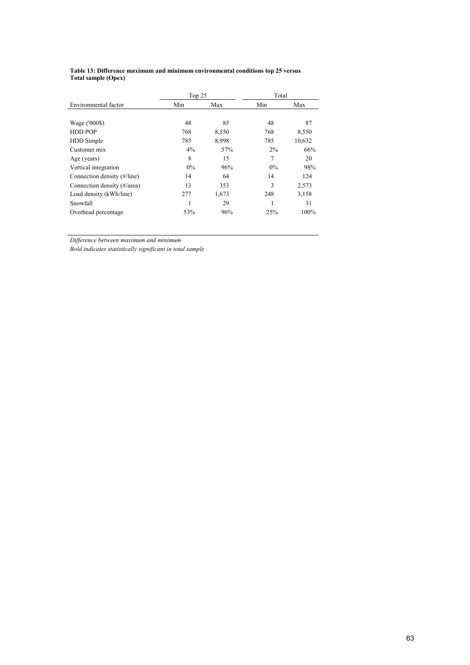#### **Table 13: Difference maximum and minimum environmental conditions top 25 versus Total sample (Opex)**

|                             | Top 25 |       | Total |        |
|-----------------------------|--------|-------|-------|--------|
| Environmental factor        | Min    | Max   | Min   | Max    |
|                             |        |       |       |        |
| Wage ('000\$)               | 48     | 85    | 48    | 87     |
| <b>HDD POP</b>              | 768    | 8,550 | 768   | 8,550  |
| HDD Simple                  | 785    | 8,998 | 785   | 10,632 |
| Customer mix                | 4%     | 57%   | $2\%$ | 66%    |
| Age (years)                 | 8      | 15    | 7     | 20     |
| Vertical integration        | $0\%$  | 96%   | $0\%$ | 98%    |
| Connection density (#/line) | 14     | 64    | 14    | 124    |
| Connection density (#/area) | 13     | 353   | 3     | 2,573  |
| Load density (kWh/line)     | 277    | 1,673 | 248   | 3,158  |
| Snowfall                    | 1      | 29    |       | 31     |
| Overhead percentage         | 53%    | 96%   | 25%   | 100%   |

*Difference between maximum and minimum*

*Bold indicates statistically significant in total sample*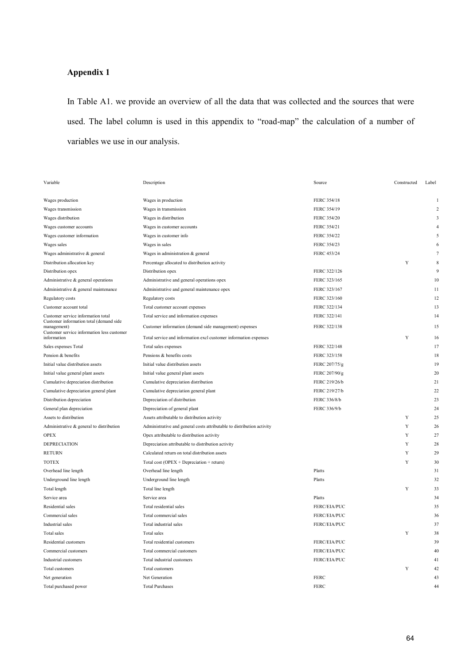### **Appendix 1**

In Table A1. we provide an overview of all the data that was collected and the sources that were used. The label column is used in this appendix to "road-map" the calculation of a number of variables we use in our analysis.

| Variable                                                  | Description                                                            | Source        | Constructed | Label       |
|-----------------------------------------------------------|------------------------------------------------------------------------|---------------|-------------|-------------|
|                                                           |                                                                        |               |             |             |
| Wages production                                          | Wages in production                                                    | FERC 354/18   |             |             |
| Wages transmission                                        | Wages in transmission                                                  | FERC 354/19   |             |             |
| Wages distribution                                        | Wages in distribution                                                  | FERC 354/20   |             | 3           |
| Wages customer accounts                                   | Wages in customer accounts                                             | FERC 354/21   |             |             |
| Wages customer information                                | Wages in customer info                                                 | FERC 354/22   |             | $\varsigma$ |
| Wages sales                                               | Wages in sales                                                         | FERC 354/23   |             | 6           |
| Wages administrative & general                            | Wages in administration & general                                      | FERC 453/24   |             | 7           |
| Distribution allocation key                               | Percentage allocated to distribution activity                          |               | Y           | 8           |
| Distribution opex                                         | Distribution opex                                                      | FERC 322/126  |             | 9           |
| Administrative & general operations                       | Administrative and general operations opex                             | FERC 323/165  |             | 10          |
| Administrative & general maintenance                      | Administrative and general maintenance opex                            | FERC 323/167  |             | 11          |
| Regulatory costs                                          | Regulatory costs                                                       | FERC 323/160  |             | 12          |
| Customer account total                                    | Total customer account expenses                                        | FERC 322/134  |             | 13          |
| Customer service information total                        | Total service and information expenses                                 | FERC 322/141  |             | 14          |
| Customer information total (demand side<br>management)    | Customer information (demand side management) expenses                 | FERC 322/138  |             | 15          |
| Customer service information less customer<br>information | Total service and information excl customer information expenses       |               | Y           | 16          |
| Sales expenses Total                                      | Total sales expenses                                                   | FERC 322/148  |             | 17          |
| Pension & benefits                                        | Pensions & benefits costs                                              | FERC 323/158  |             | 18          |
| Initial value distribution assets                         | Initial value distribution assets                                      | FERC 207/75/g |             | 19          |
| Initial value general plant assets                        | Initial value general plant assets                                     | FERC 207/90/g |             | 20          |
| Cumulative depreciation distribution                      | Cumulative depreciation distribution                                   | FERC 219/26/b |             | 21          |
| Cumulative depreciation general plant                     | Cumulative depreciation general plant                                  | FERC 219/27/b |             | 22          |
| Distribution depreciation                                 | Depreciation of distribution                                           | FERC 336/8/b  |             | 23          |
| General plan depreciation                                 | Depreciation of general plant                                          | FERC 336/9/b  |             | 24          |
| Assets to distribution                                    | Assets attributable to distribution activity                           |               | Y           | 25          |
| Administrative & general to distribution                  | Administrative and general costs attributable to distribution activity |               | Y           | 26          |
| <b>OPEX</b>                                               | Opex attributable to distribution activity                             |               | Y           | 27          |
| <b>DEPRECIATION</b>                                       | Depreciation attributable to distribution activity                     |               | Y           | 28          |
| <b>RETURN</b>                                             | Calculated return on total distribution assets                         |               | Y           | 29          |
| <b>TOTEX</b>                                              | Total cost ( $OPEX + Depreciation + return$ )                          |               | Y           | 30          |
| Overhead line length                                      | Overhead line length                                                   | Platts        |             | 31          |
| Underground line length                                   | Underground line length                                                | Platts        |             | 32          |
| Total length                                              | Total line length                                                      |               | Y           | 33          |
| Service area                                              | Service area                                                           | Platts        |             | 34          |
| Residential sales                                         | Total residential sales                                                | FERC/EIA/PUC  |             | 35          |
| Commercial sales                                          | Total commercial sales                                                 | FERC/EIA/PUC  |             | 36          |
| Industrial sales                                          | Total industrial sales                                                 | FERC/EIA/PUC  |             | 37          |
| Total sales                                               | Total sales                                                            |               | Y           | 38          |
| Residential customers                                     | Total residential customers                                            | FERC/EIA/PUC  |             | 39          |
| Commercial customers                                      | Total commercial customers                                             | FERC/EIA/PUC  |             | 40          |
| Industrial customers                                      | Total industrial customers                                             | FERC/EIA/PUC  |             | 41          |
| Total customers                                           | Total customers                                                        |               | Y           | 42          |
| Net generation                                            | Net Generation                                                         | <b>FERC</b>   |             | 43          |
| Total purchased power                                     | <b>Total Purchases</b>                                                 | <b>FERC</b>   |             | 44          |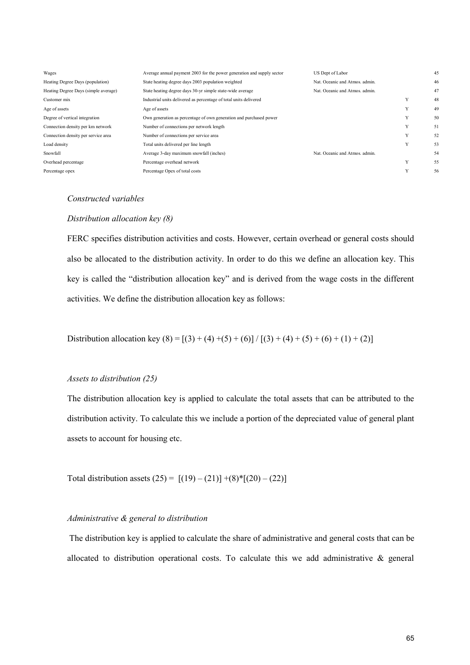| Wages                                | Average annual payment 2003 for the power generation and supply sector | US Dept of Labor               |   | 45 |
|--------------------------------------|------------------------------------------------------------------------|--------------------------------|---|----|
| Heating Degree Days (population)     | State heating degree days 2003 population weighted                     | Nat. Oceanic and Atmos. admin. |   | 46 |
| Heating Degree Days (simple average) | State heating degree days 30-yr simple state-wide average              | Nat. Oceanic and Atmos. admin. |   | 47 |
| Customer mix                         | Industrial units delivered as percentage of total units delivered      |                                | Y | 48 |
| Age of assets                        | Age of assets                                                          |                                | Y | 49 |
| Degree of vertical integration       | Own generation as percentage of own generation and purchased power     |                                | Y | 50 |
| Connection density per km network    | Number of connections per network length                               |                                | Y | 51 |
| Connection density per service area  | Number of connections per service area                                 |                                | Y | 52 |
| Load density                         | Total units delivered per line length                                  |                                | Y | 53 |
| Snowfall                             | Average 3-day maximum snowfall (inches)                                | Nat. Oceanic and Atmos. admin. |   | 54 |
| Overhead percentage                  | Percentage overhead network                                            |                                | Y | 55 |
| Percentage opex                      | Percentage Opex of total costs                                         |                                | Y | 56 |
|                                      |                                                                        |                                |   |    |

#### *Constructed variables*

#### *Distribution allocation key (8)*

FERC specifies distribution activities and costs. However, certain overhead or general costs should also be allocated to the distribution activity. In order to do this we define an allocation key. This key is called the "distribution allocation key" and is derived from the wage costs in the different activities. We define the distribution allocation key as follows:

Distribution allocation key (8) = [(3) + (4) + (5) + (6)] / [(3) + (4) + (5) + (6) + (1) + (2)]

#### *Assets to distribution (25)*

The distribution allocation key is applied to calculate the total assets that can be attributed to the distribution activity. To calculate this we include a portion of the depreciated value of general plant assets to account for housing etc.

Total distribution assets  $(25) = [(19) - (21)] + (8)*[(20) - (22)]$ 

#### *Administrative & general to distribution*

The distribution key is applied to calculate the share of administrative and general costs that can be allocated to distribution operational costs. To calculate this we add administrative  $\&$  general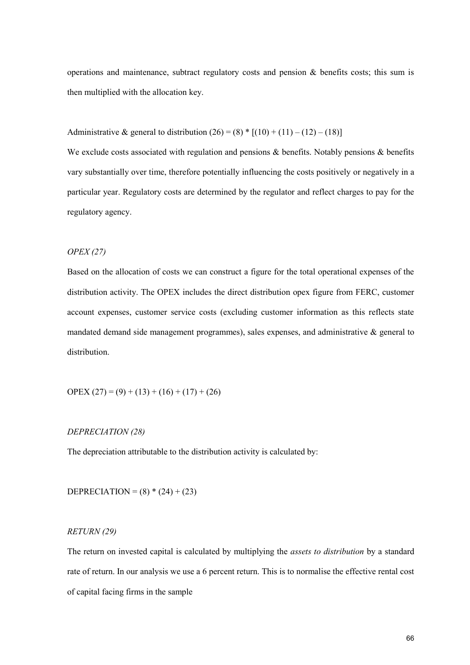operations and maintenance, subtract regulatory costs and pension  $\&$  benefits costs; this sum is then multiplied with the allocation key.

Administrative & general to distribution  $(26) = (8) * [(10) + (11) - (12) - (18)]$ 

We exclude costs associated with regulation and pensions & benefits. Notably pensions & benefits vary substantially over time, therefore potentially influencing the costs positively or negatively in a particular year. Regulatory costs are determined by the regulator and reflect charges to pay for the regulatory agency.

#### *OPEX (27)*

Based on the allocation of costs we can construct a figure for the total operational expenses of the distribution activity. The OPEX includes the direct distribution opex figure from FERC, customer account expenses, customer service costs (excluding customer information as this reflects state mandated demand side management programmes), sales expenses, and administrative  $\&$  general to distribution.

OPEX  $(27) = (9) + (13) + (16) + (17) + (26)$ 

#### *DEPRECIATION (28)*

The depreciation attributable to the distribution activity is calculated by:

DEPRECIATION =  $(8) * (24) + (23)$ 

#### *RETURN (29)*

The return on invested capital is calculated by multiplying the *assets to distribution* by a standard rate of return. In our analysis we use a 6 percent return. This is to normalise the effective rental cost of capital facing firms in the sample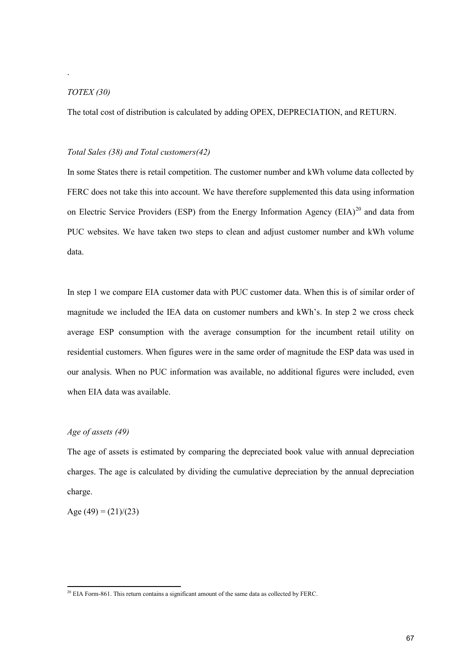#### *TOTEX (30)*

.

The total cost of distribution is calculated by adding OPEX, DEPRECIATION, and RETURN.

#### *Total Sales (38) and Total customers(42)*

In some States there is retail competition. The customer number and kWh volume data collected by FERC does not take this into account. We have therefore supplemented this data using information on Electric Service Providers (ESP) from the Energy Information Agency (EIA)<sup>20</sup> and data from PUC websites. We have taken two steps to clean and adjust customer number and kWh volume data.

In step 1 we compare EIA customer data with PUC customer data. When this is of similar order of magnitude we included the IEA data on customer numbers and kWh's. In step 2 we cross check average ESP consumption with the average consumption for the incumbent retail utility on residential customers. When figures were in the same order of magnitude the ESP data was used in our analysis. When no PUC information was available, no additional figures were included, even when EIA data was available.

#### *Age of assets (49)*

The age of assets is estimated by comparing the depreciated book value with annual depreciation charges. The age is calculated by dividing the cumulative depreciation by the annual depreciation charge.

Age  $(49) = (21)/(23)$ 

<sup>&</sup>lt;sup>20</sup> EIA Form-861. This return contains a significant amount of the same data as collected by FERC.